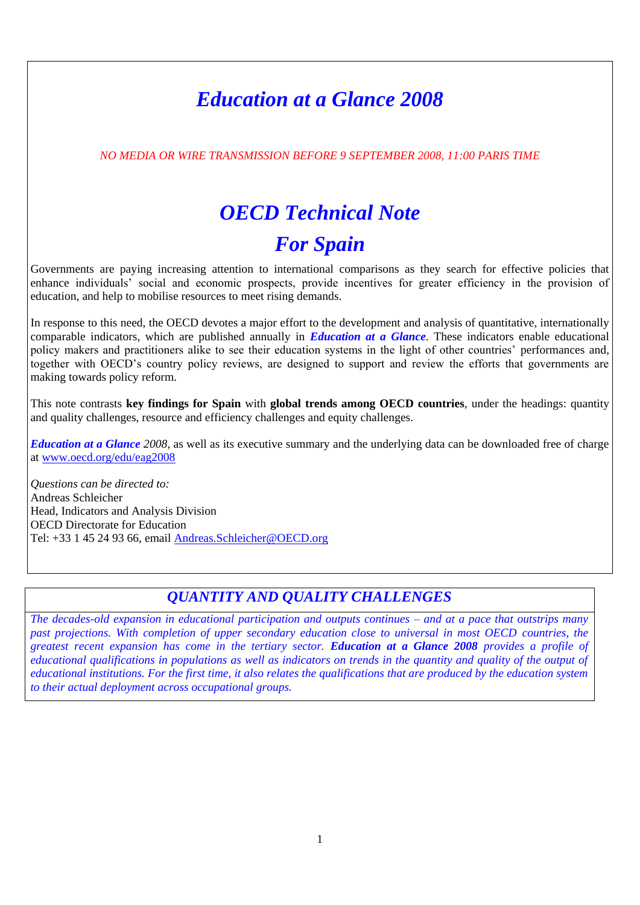# *Education at a Glance 2008*

*NO MEDIA OR WIRE TRANSMISSION BEFORE 9 SEPTEMBER 2008, 11:00 PARIS TIME*

# *OECD Technical Note*

# *For Spain*

Governments are paying increasing attention to international comparisons as they search for effective policies that enhance individuals' social and economic prospects, provide incentives for greater efficiency in the provision of education, and help to mobilise resources to meet rising demands.

In response to this need, the OECD devotes a major effort to the development and analysis of quantitative, internationally comparable indicators, which are published annually in *Education at a Glance*. These indicators enable educational policy makers and practitioners alike to see their education systems in the light of other countries' performances and, together with OECD's country policy reviews, are designed to support and review the efforts that governments are making towards policy reform.

This note contrasts **key findings for Spain** with **global trends among OECD countries**, under the headings: quantity and quality challenges, resource and efficiency challenges and equity challenges.

*Education at a Glance 2008,* as well as its executive summary and the underlying data can be downloaded free of charge at [www.oecd.org/edu/eag2008](http://www.oecd.org/edu/eag2008)

*Questions can be directed to:* Andreas Schleicher Head, Indicators and Analysis Division OECD Directorate for Education Tel: +33 1 45 24 93 66, email [Andreas.Schleicher@OECD.org](mailto:Andreas.Schleicher@OECD.org)

# *QUANTITY AND QUALITY CHALLENGES*

*The decades-old expansion in educational participation and outputs continues – and at a pace that outstrips many past projections. With completion of upper secondary education close to universal in most OECD countries, the greatest recent expansion has come in the tertiary sector. Education at a Glance 2008 provides a profile of educational qualifications in populations as well as indicators on trends in the quantity and quality of the output of educational institutions. For the first time, it also relates the qualifications that are produced by the education system to their actual deployment across occupational groups.*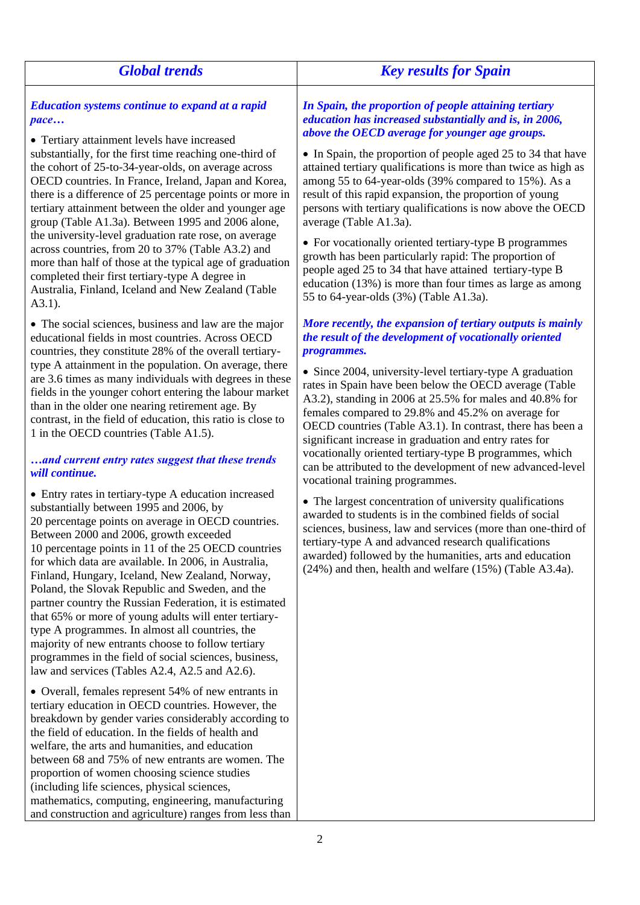| <b>Global trends</b>                                                                                                                                                                                                                                                                                                                                                                                                                                                                                                                                                                                                                                                                                                                                                                                                | <b>Key results for Spain</b>                                                                                                                                                                                                                                                                                                                                                                                                                                                                                                                                                                                                                                                                                                                                                                          |
|---------------------------------------------------------------------------------------------------------------------------------------------------------------------------------------------------------------------------------------------------------------------------------------------------------------------------------------------------------------------------------------------------------------------------------------------------------------------------------------------------------------------------------------------------------------------------------------------------------------------------------------------------------------------------------------------------------------------------------------------------------------------------------------------------------------------|-------------------------------------------------------------------------------------------------------------------------------------------------------------------------------------------------------------------------------------------------------------------------------------------------------------------------------------------------------------------------------------------------------------------------------------------------------------------------------------------------------------------------------------------------------------------------------------------------------------------------------------------------------------------------------------------------------------------------------------------------------------------------------------------------------|
| <b>Education systems continue to expand at a rapid</b><br>pace<br>• Tertiary attainment levels have increased<br>substantially, for the first time reaching one-third of<br>the cohort of 25-to-34-year-olds, on average across<br>OECD countries. In France, Ireland, Japan and Korea,<br>there is a difference of 25 percentage points or more in<br>tertiary attainment between the older and younger age<br>group (Table A1.3a). Between 1995 and 2006 alone,<br>the university-level graduation rate rose, on average<br>across countries, from 20 to 37% (Table A3.2) and<br>more than half of those at the typical age of graduation<br>completed their first tertiary-type A degree in<br>Australia, Finland, Iceland and New Zealand (Table<br>$A3.1$ ).                                                   | In Spain, the proportion of people attaining tertiary<br>education has increased substantially and is, in 2006,<br>above the OECD average for younger age groups.<br>• In Spain, the proportion of people aged 25 to 34 that have<br>attained tertiary qualifications is more than twice as high as<br>among 55 to 64-year-olds (39% compared to 15%). As a<br>result of this rapid expansion, the proportion of young<br>persons with tertiary qualifications is now above the OECD<br>average (Table A1.3a).<br>• For vocationally oriented tertiary-type B programmes<br>growth has been particularly rapid: The proportion of<br>people aged 25 to 34 that have attained tertiary-type B<br>education $(13%)$ is more than four times as large as among<br>55 to 64-year-olds (3%) (Table A1.3a). |
| • The social sciences, business and law are the major<br>educational fields in most countries. Across OECD<br>countries, they constitute 28% of the overall tertiary-<br>type A attainment in the population. On average, there<br>are 3.6 times as many individuals with degrees in these<br>fields in the younger cohort entering the labour market<br>than in the older one nearing retirement age. By<br>contrast, in the field of education, this ratio is close to<br>1 in the OECD countries (Table A1.5).<br>and current entry rates suggest that these trends<br>will continue.                                                                                                                                                                                                                            | More recently, the expansion of tertiary outputs is mainly<br>the result of the development of vocationally oriented<br>programmes.<br>• Since 2004, university-level tertiary-type A graduation<br>rates in Spain have been below the OECD average (Table<br>A3.2), standing in 2006 at 25.5% for males and 40.8% for<br>females compared to 29.8% and 45.2% on average for<br>OECD countries (Table A3.1). In contrast, there has been a<br>significant increase in graduation and entry rates for<br>vocationally oriented tertiary-type B programmes, which<br>can be attributed to the development of new advanced-level<br>vocational training programmes.                                                                                                                                      |
| • Entry rates in tertiary-type A education increased<br>substantially between 1995 and 2006, by<br>20 percentage points on average in OECD countries.<br>Between 2000 and 2006, growth exceeded<br>10 percentage points in 11 of the 25 OECD countries<br>for which data are available. In 2006, in Australia,<br>Finland, Hungary, Iceland, New Zealand, Norway,<br>Poland, the Slovak Republic and Sweden, and the<br>partner country the Russian Federation, it is estimated<br>that 65% or more of young adults will enter tertiary-<br>type A programmes. In almost all countries, the<br>majority of new entrants choose to follow tertiary<br>programmes in the field of social sciences, business,<br>law and services (Tables A2.4, A2.5 and A2.6).<br>• Overall, females represent 54% of new entrants in | • The largest concentration of university qualifications<br>awarded to students is in the combined fields of social<br>sciences, business, law and services (more than one-third of<br>tertiary-type A and advanced research qualifications<br>awarded) followed by the humanities, arts and education<br>$(24%)$ and then, health and welfare $(15%)$ (Table A3.4a).                                                                                                                                                                                                                                                                                                                                                                                                                                 |

tertiary education in OECD countries. However, the breakdown by gender varies considerably according to the field of education. In the fields of health and welfare, the arts and humanities, and education between 68 and 75% of new entrants are women. The

mathematics, computing, engineering, manufacturing and construction and agriculture) ranges from less than

proportion of women choosing science studies (including life sciences, physical sciences,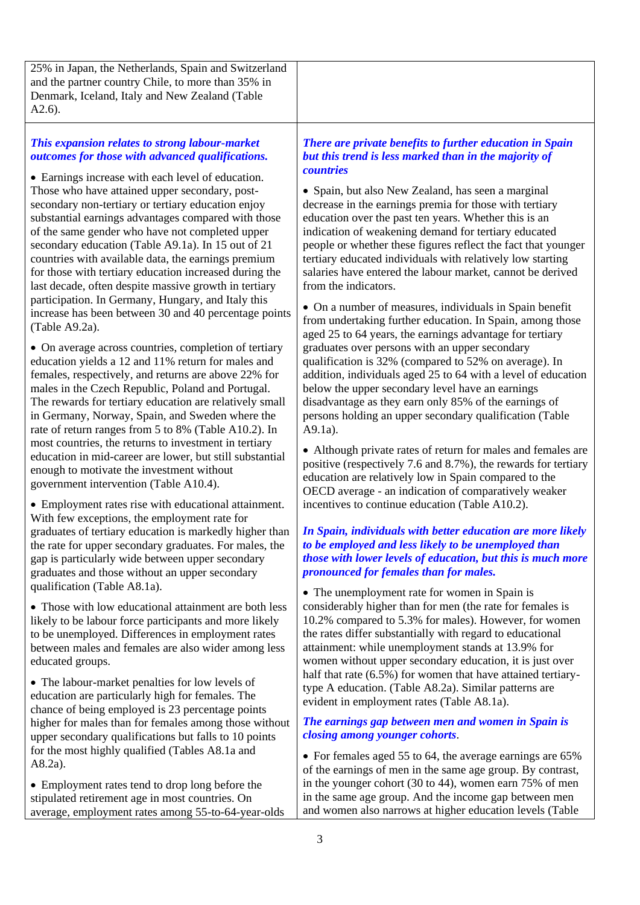25% in Japan, the Netherlands, Spain and Switzerland and the partner country Chile, to more than 35% in Denmark, Iceland, Italy and New Zealand (Table A2.6).

## *This expansion relates to strong labour-market outcomes for those with advanced qualifications.*

 Earnings increase with each level of education. Those who have attained upper secondary, postsecondary non-tertiary or tertiary education enjoy substantial earnings advantages compared with those of the same gender who have not completed upper secondary education (Table A9.1a). In 15 out of 21 countries with available data, the earnings premium for those with tertiary education increased during the last decade, often despite massive growth in tertiary participation. In Germany, Hungary, and Italy this increase has been between 30 and 40 percentage points (Table A9.2a).

 On average across countries, completion of tertiary education yields a 12 and 11% return for males and females, respectively, and returns are above 22% for males in the Czech Republic, Poland and Portugal. The rewards for tertiary education are relatively small in Germany, Norway, Spain, and Sweden where the rate of return ranges from 5 to 8% (Table A10.2). In most countries, the returns to investment in tertiary education in mid-career are lower, but still substantial enough to motivate the investment without government intervention (Table A10.4).

 Employment rates rise with educational attainment. With few exceptions, the employment rate for graduates of tertiary education is markedly higher than the rate for upper secondary graduates. For males, the gap is particularly wide between upper secondary graduates and those without an upper secondary qualification (Table A8.1a).

• Those with low educational attainment are both less likely to be labour force participants and more likely to be unemployed. Differences in employment rates between males and females are also wider among less educated groups.

• The labour-market penalties for low levels of education are particularly high for females. The chance of being employed is 23 percentage points higher for males than for females among those without upper secondary qualifications but falls to 10 points for the most highly qualified (Tables A8.1a and A8.2a).

• Employment rates tend to drop long before the stipulated retirement age in most countries. On average, employment rates among 55-to-64-year-olds

#### *There are private benefits to further education in Spain but this trend is less marked than in the majority of countries*

 Spain, but also New Zealand, has seen a marginal decrease in the earnings premia for those with tertiary education over the past ten years. Whether this is an indication of weakening demand for tertiary educated people or whether these figures reflect the fact that younger tertiary educated individuals with relatively low starting salaries have entered the labour market, cannot be derived from the indicators.

 On a number of measures, individuals in Spain benefit from undertaking further education. In Spain, among those aged 25 to 64 years, the earnings advantage for tertiary graduates over persons with an upper secondary qualification is 32% (compared to 52% on average). In addition, individuals aged 25 to 64 with a level of education below the upper secondary level have an earnings disadvantage as they earn only 85% of the earnings of persons holding an upper secondary qualification (Table A9.1a).

 Although private rates of return for males and females are positive (respectively 7.6 and 8.7%), the rewards for tertiary education are relatively low in Spain compared to the OECD average - an indication of comparatively weaker incentives to continue education (Table A10.2).

#### *In Spain, individuals with better education are more likely to be employed and less likely to be unemployed than those with lower levels of education, but this is much more pronounced for females than for males.*

• The unemployment rate for women in Spain is considerably higher than for men (the rate for females is 10.2% compared to 5.3% for males). However, for women the rates differ substantially with regard to educational attainment: while unemployment stands at 13.9% for women without upper secondary education, it is just over half that rate (6.5%) for women that have attained tertiarytype A education. (Table A8.2a). Similar patterns are evident in employment rates (Table A8.1a).

#### *The earnings gap between men and women in Spain is closing among younger cohorts*.

• For females aged 55 to 64, the average earnings are 65% of the earnings of men in the same age group. By contrast, in the younger cohort (30 to 44), women earn 75% of men in the same age group. And the income gap between men and women also narrows at higher education levels (Table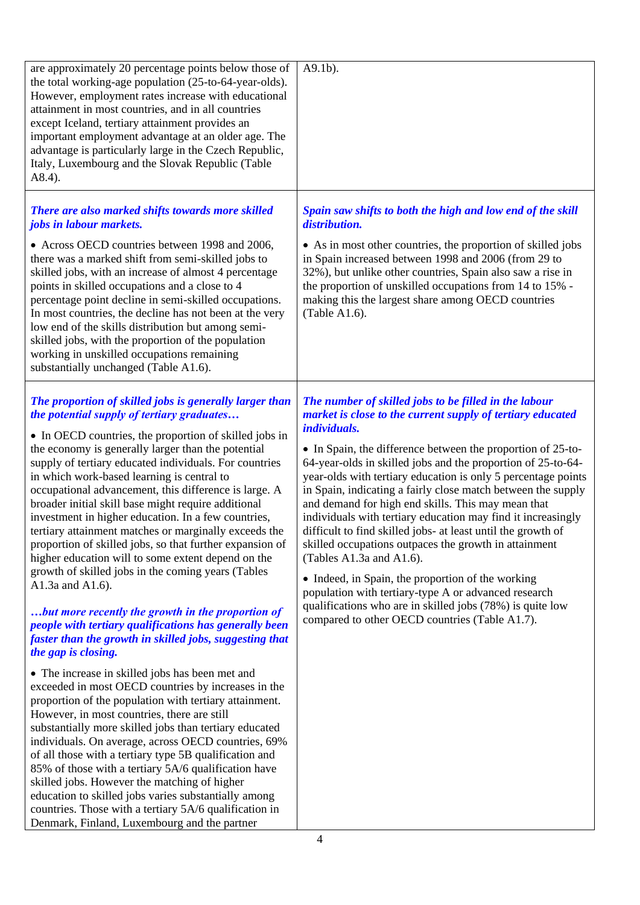| are approximately 20 percentage points below those of<br>the total working-age population (25-to-64-year-olds).<br>However, employment rates increase with educational<br>attainment in most countries, and in all countries<br>except Iceland, tertiary attainment provides an<br>important employment advantage at an older age. The<br>advantage is particularly large in the Czech Republic,<br>Italy, Luxembourg and the Slovak Republic (Table<br>A8.4).                                                                                                                                                                                                                                                                                                                                                                                                                                                                                             | $A9.1b$ ).                                                                                                                                                                                                                                                                                                                                                                                                                                                                                                                                                                                                                                                                                                                                                                                                                                                                                                        |
|------------------------------------------------------------------------------------------------------------------------------------------------------------------------------------------------------------------------------------------------------------------------------------------------------------------------------------------------------------------------------------------------------------------------------------------------------------------------------------------------------------------------------------------------------------------------------------------------------------------------------------------------------------------------------------------------------------------------------------------------------------------------------------------------------------------------------------------------------------------------------------------------------------------------------------------------------------|-------------------------------------------------------------------------------------------------------------------------------------------------------------------------------------------------------------------------------------------------------------------------------------------------------------------------------------------------------------------------------------------------------------------------------------------------------------------------------------------------------------------------------------------------------------------------------------------------------------------------------------------------------------------------------------------------------------------------------------------------------------------------------------------------------------------------------------------------------------------------------------------------------------------|
| There are also marked shifts towards more skilled<br>jobs in labour markets.<br>• Across OECD countries between 1998 and 2006,<br>there was a marked shift from semi-skilled jobs to<br>skilled jobs, with an increase of almost 4 percentage<br>points in skilled occupations and a close to 4<br>percentage point decline in semi-skilled occupations.<br>In most countries, the decline has not been at the very                                                                                                                                                                                                                                                                                                                                                                                                                                                                                                                                        | Spain saw shifts to both the high and low end of the skill<br>distribution.<br>• As in most other countries, the proportion of skilled jobs<br>in Spain increased between 1998 and 2006 (from 29 to<br>32%), but unlike other countries, Spain also saw a rise in<br>the proportion of unskilled occupations from 14 to 15% -<br>making this the largest share among OECD countries<br>(Table A1.6).                                                                                                                                                                                                                                                                                                                                                                                                                                                                                                              |
| low end of the skills distribution but among semi-<br>skilled jobs, with the proportion of the population<br>working in unskilled occupations remaining<br>substantially unchanged (Table A1.6).                                                                                                                                                                                                                                                                                                                                                                                                                                                                                                                                                                                                                                                                                                                                                           |                                                                                                                                                                                                                                                                                                                                                                                                                                                                                                                                                                                                                                                                                                                                                                                                                                                                                                                   |
| The proportion of skilled jobs is generally larger than<br>the potential supply of tertiary graduates<br>• In OECD countries, the proportion of skilled jobs in<br>the economy is generally larger than the potential<br>supply of tertiary educated individuals. For countries<br>in which work-based learning is central to<br>occupational advancement, this difference is large. A<br>broader initial skill base might require additional<br>investment in higher education. In a few countries,<br>tertiary attainment matches or marginally exceeds the<br>proportion of skilled jobs, so that further expansion of<br>higher education will to some extent depend on the<br>growth of skilled jobs in the coming years (Tables<br>A1.3a and A1.6).<br>but more recently the growth in the proportion of<br>people with tertiary qualifications has generally been<br>faster than the growth in skilled jobs, suggesting that<br>the gap is closing. | The number of skilled jobs to be filled in the labour<br>market is close to the current supply of tertiary educated<br><i>individuals.</i><br>• In Spain, the difference between the proportion of 25-to-<br>64-year-olds in skilled jobs and the proportion of 25-to-64-<br>year-olds with tertiary education is only 5 percentage points<br>in Spain, indicating a fairly close match between the supply<br>and demand for high end skills. This may mean that<br>individuals with tertiary education may find it increasingly<br>difficult to find skilled jobs- at least until the growth of<br>skilled occupations outpaces the growth in attainment<br>(Tables A1.3a and A1.6).<br>• Indeed, in Spain, the proportion of the working<br>population with tertiary-type A or advanced research<br>qualifications who are in skilled jobs (78%) is quite low<br>compared to other OECD countries (Table A1.7). |
| • The increase in skilled jobs has been met and<br>exceeded in most OECD countries by increases in the<br>proportion of the population with tertiary attainment.<br>However, in most countries, there are still<br>substantially more skilled jobs than tertiary educated<br>individuals. On average, across OECD countries, 69%<br>of all those with a tertiary type 5B qualification and<br>85% of those with a tertiary 5A/6 qualification have<br>skilled jobs. However the matching of higher<br>education to skilled jobs varies substantially among<br>countries. Those with a tertiary 5A/6 qualification in<br>Denmark, Finland, Luxembourg and the partner                                                                                                                                                                                                                                                                                       |                                                                                                                                                                                                                                                                                                                                                                                                                                                                                                                                                                                                                                                                                                                                                                                                                                                                                                                   |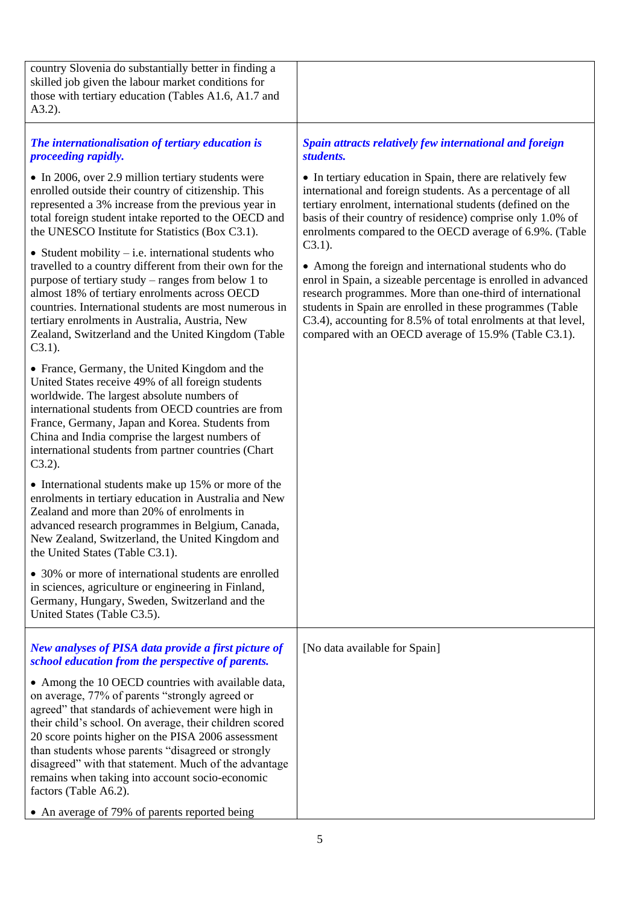| country Slovenia do substantially better in finding a<br>skilled job given the labour market conditions for<br>those with tertiary education (Tables A1.6, A1.7 and<br>$A3.2$ ).                                                                                                                                                                                                                                                                                                                                                                                                                                                                                                                                                                                                                                                                                                                                                                                                                                                                                                                                                                                                                                                                                                                                                                                                                                                                                                                                                                                                      |                                                                                                                                                                                                                                                                                                                                                                                                                                                                                                                                                                                                                                                                                                           |
|---------------------------------------------------------------------------------------------------------------------------------------------------------------------------------------------------------------------------------------------------------------------------------------------------------------------------------------------------------------------------------------------------------------------------------------------------------------------------------------------------------------------------------------------------------------------------------------------------------------------------------------------------------------------------------------------------------------------------------------------------------------------------------------------------------------------------------------------------------------------------------------------------------------------------------------------------------------------------------------------------------------------------------------------------------------------------------------------------------------------------------------------------------------------------------------------------------------------------------------------------------------------------------------------------------------------------------------------------------------------------------------------------------------------------------------------------------------------------------------------------------------------------------------------------------------------------------------|-----------------------------------------------------------------------------------------------------------------------------------------------------------------------------------------------------------------------------------------------------------------------------------------------------------------------------------------------------------------------------------------------------------------------------------------------------------------------------------------------------------------------------------------------------------------------------------------------------------------------------------------------------------------------------------------------------------|
| The internationalisation of tertiary education is<br>proceeding rapidly.                                                                                                                                                                                                                                                                                                                                                                                                                                                                                                                                                                                                                                                                                                                                                                                                                                                                                                                                                                                                                                                                                                                                                                                                                                                                                                                                                                                                                                                                                                              | Spain attracts relatively few international and foreign<br>students.                                                                                                                                                                                                                                                                                                                                                                                                                                                                                                                                                                                                                                      |
| • In 2006, over 2.9 million tertiary students were<br>enrolled outside their country of citizenship. This<br>represented a 3% increase from the previous year in<br>total foreign student intake reported to the OECD and<br>the UNESCO Institute for Statistics (Box C3.1).<br>• Student mobility $-$ i.e. international students who<br>travelled to a country different from their own for the<br>purpose of tertiary study – ranges from below 1 to<br>almost 18% of tertiary enrolments across OECD<br>countries. International students are most numerous in<br>tertiary enrolments in Australia, Austria, New<br>Zealand, Switzerland and the United Kingdom (Table<br>$C3.1$ ).<br>• France, Germany, the United Kingdom and the<br>United States receive 49% of all foreign students<br>worldwide. The largest absolute numbers of<br>international students from OECD countries are from<br>France, Germany, Japan and Korea. Students from<br>China and India comprise the largest numbers of<br>international students from partner countries (Chart<br>$C3.2$ ).<br>• International students make up 15% or more of the<br>enrolments in tertiary education in Australia and New<br>Zealand and more than 20% of enrolments in<br>advanced research programmes in Belgium, Canada,<br>New Zealand, Switzerland, the United Kingdom and<br>the United States (Table C3.1).<br>• 30% or more of international students are enrolled<br>in sciences, agriculture or engineering in Finland,<br>Germany, Hungary, Sweden, Switzerland and the<br>United States (Table C3.5). | • In tertiary education in Spain, there are relatively few<br>international and foreign students. As a percentage of all<br>tertiary enrolment, international students (defined on the<br>basis of their country of residence) comprise only 1.0% of<br>enrolments compared to the OECD average of 6.9%. (Table<br>$C3.1$ ).<br>• Among the foreign and international students who do<br>enrol in Spain, a sizeable percentage is enrolled in advanced<br>research programmes. More than one-third of international<br>students in Spain are enrolled in these programmes (Table<br>C3.4), accounting for 8.5% of total enrolments at that level,<br>compared with an OECD average of 15.9% (Table C3.1). |
| New analyses of PISA data provide a first picture of<br>school education from the perspective of parents.                                                                                                                                                                                                                                                                                                                                                                                                                                                                                                                                                                                                                                                                                                                                                                                                                                                                                                                                                                                                                                                                                                                                                                                                                                                                                                                                                                                                                                                                             | [No data available for Spain]                                                                                                                                                                                                                                                                                                                                                                                                                                                                                                                                                                                                                                                                             |
| • Among the 10 OECD countries with available data,<br>on average, 77% of parents "strongly agreed or<br>agreed" that standards of achievement were high in<br>their child's school. On average, their children scored<br>20 score points higher on the PISA 2006 assessment<br>than students whose parents "disagreed or strongly<br>disagreed" with that statement. Much of the advantage<br>remains when taking into account socio-economic<br>factors (Table A6.2).<br>• An average of 79% of parents reported being                                                                                                                                                                                                                                                                                                                                                                                                                                                                                                                                                                                                                                                                                                                                                                                                                                                                                                                                                                                                                                                               |                                                                                                                                                                                                                                                                                                                                                                                                                                                                                                                                                                                                                                                                                                           |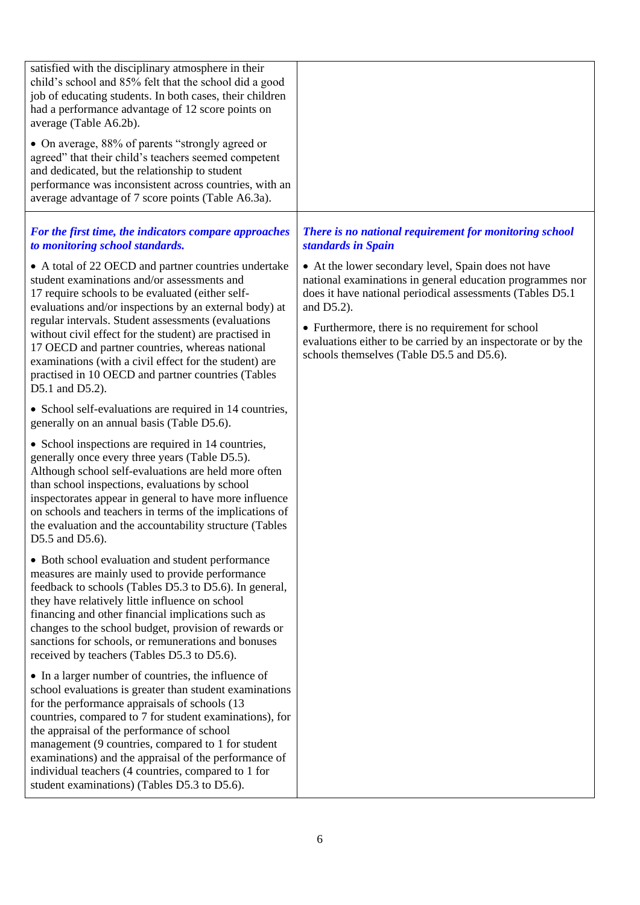| satisfied with the disciplinary atmosphere in their<br>child's school and 85% felt that the school did a good<br>job of educating students. In both cases, their children<br>had a performance advantage of 12 score points on<br>average (Table A6.2b).                                                                                                                                                                                                                                              |                                                                                                                                                                                                                                                                                                                                                                    |
|-------------------------------------------------------------------------------------------------------------------------------------------------------------------------------------------------------------------------------------------------------------------------------------------------------------------------------------------------------------------------------------------------------------------------------------------------------------------------------------------------------|--------------------------------------------------------------------------------------------------------------------------------------------------------------------------------------------------------------------------------------------------------------------------------------------------------------------------------------------------------------------|
| • On average, 88% of parents "strongly agreed or<br>agreed" that their child's teachers seemed competent<br>and dedicated, but the relationship to student<br>performance was inconsistent across countries, with an<br>average advantage of 7 score points (Table A6.3a).                                                                                                                                                                                                                            |                                                                                                                                                                                                                                                                                                                                                                    |
| For the first time, the indicators compare approaches<br>to monitoring school standards.                                                                                                                                                                                                                                                                                                                                                                                                              | There is no national requirement for monitoring school<br>standards in Spain                                                                                                                                                                                                                                                                                       |
| • A total of 22 OECD and partner countries undertake<br>student examinations and/or assessments and<br>17 require schools to be evaluated (either self-<br>evaluations and/or inspections by an external body) at<br>regular intervals. Student assessments (evaluations<br>without civil effect for the student) are practised in<br>17 OECD and partner countries, whereas national<br>examinations (with a civil effect for the student) are<br>practised in 10 OECD and partner countries (Tables | • At the lower secondary level, Spain does not have<br>national examinations in general education programmes nor<br>does it have national periodical assessments (Tables D5.1)<br>and $D5.2$ ).<br>• Furthermore, there is no requirement for school<br>evaluations either to be carried by an inspectorate or by the<br>schools themselves (Table D5.5 and D5.6). |
| D5.1 and D5.2).<br>• School self-evaluations are required in 14 countries,<br>generally on an annual basis (Table D5.6).                                                                                                                                                                                                                                                                                                                                                                              |                                                                                                                                                                                                                                                                                                                                                                    |
| • School inspections are required in 14 countries,<br>generally once every three years (Table D5.5).<br>Although school self-evaluations are held more often<br>than school inspections, evaluations by school<br>inspectorates appear in general to have more influence<br>on schools and teachers in terms of the implications of<br>the evaluation and the accountability structure (Tables<br>D5.5 and D5.6).                                                                                     |                                                                                                                                                                                                                                                                                                                                                                    |
| • Both school evaluation and student performance<br>measures are mainly used to provide performance<br>feedback to schools (Tables D5.3 to D5.6). In general,<br>they have relatively little influence on school<br>financing and other financial implications such as<br>changes to the school budget, provision of rewards or<br>sanctions for schools, or remunerations and bonuses<br>received by teachers (Tables D5.3 to D5.6).                                                                 |                                                                                                                                                                                                                                                                                                                                                                    |
| • In a larger number of countries, the influence of<br>school evaluations is greater than student examinations<br>for the performance appraisals of schools (13)<br>countries, compared to 7 for student examinations), for<br>the appraisal of the performance of school<br>management (9 countries, compared to 1 for student<br>examinations) and the appraisal of the performance of<br>individual teachers (4 countries, compared to 1 for<br>student examinations) (Tables D5.3 to D5.6).       |                                                                                                                                                                                                                                                                                                                                                                    |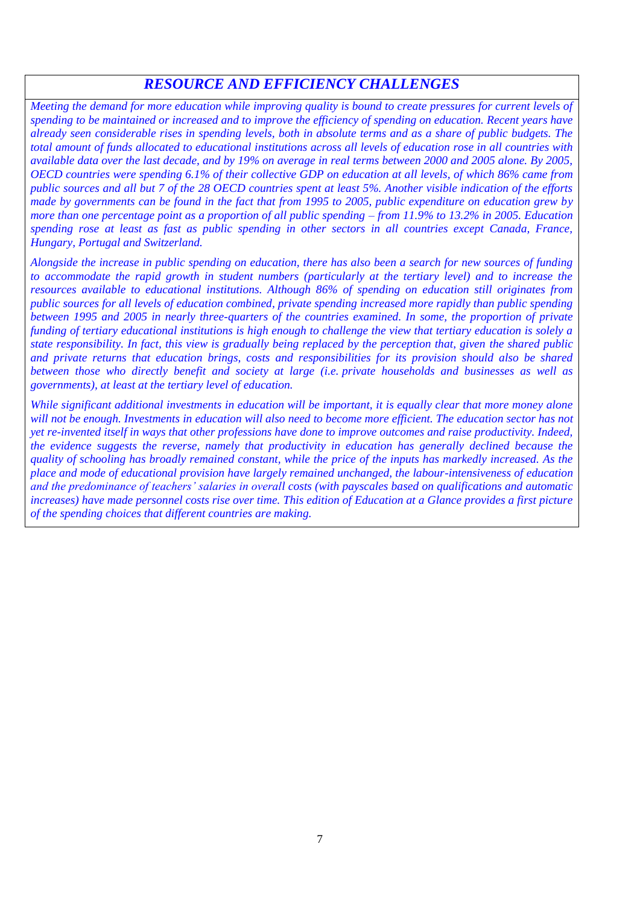# *RESOURCE AND EFFICIENCY CHALLENGES*

*Meeting the demand for more education while improving quality is bound to create pressures for current levels of spending to be maintained or increased and to improve the efficiency of spending on education. Recent years have already seen considerable rises in spending levels, both in absolute terms and as a share of public budgets. The total amount of funds allocated to educational institutions across all levels of education rose in all countries with available data over the last decade, and by 19% on average in real terms between 2000 and 2005 alone. By 2005, OECD countries were spending 6.1% of their collective GDP on education at all levels, of which 86% came from public sources and all but 7 of the 28 OECD countries spent at least 5%. Another visible indication of the efforts made by governments can be found in the fact that from 1995 to 2005, public expenditure on education grew by more than one percentage point as a proportion of all public spending – from 11.9% to 13.2% in 2005. Education spending rose at least as fast as public spending in other sectors in all countries except Canada, France, Hungary, Portugal and Switzerland.*

*Alongside the increase in public spending on education, there has also been a search for new sources of funding to accommodate the rapid growth in student numbers (particularly at the tertiary level) and to increase the resources available to educational institutions. Although 86% of spending on education still originates from public sources for all levels of education combined, private spending increased more rapidly than public spending between 1995 and 2005 in nearly three-quarters of the countries examined. In some, the proportion of private funding of tertiary educational institutions is high enough to challenge the view that tertiary education is solely a state responsibility. In fact, this view is gradually being replaced by the perception that, given the shared public and private returns that education brings, costs and responsibilities for its provision should also be shared between those who directly benefit and society at large (i.e. private households and businesses as well as governments), at least at the tertiary level of education.*

*While significant additional investments in education will be important, it is equally clear that more money alone*  will not be enough. Investments in education will also need to become more efficient. The education sector has not *yet re-invented itself in ways that other professions have done to improve outcomes and raise productivity. Indeed, the evidence suggests the reverse, namely that productivity in education has generally declined because the quality of schooling has broadly remained constant, while the price of the inputs has markedly increased. As the place and mode of educational provision have largely remained unchanged, the labour-intensiveness of education and the predominance of teachers' salaries in overall costs (with payscales based on qualifications and automatic increases) have made personnel costs rise over time. This edition of Education at a Glance provides a first picture of the spending choices that different countries are making.*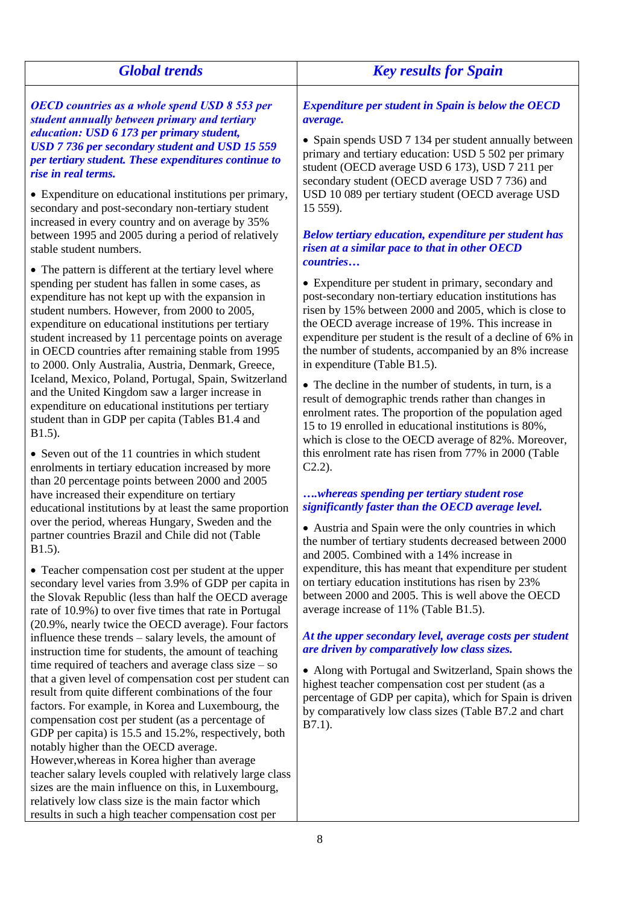| <b>Global trends</b>                                                                                                                                                                                                                                                                                                                                                                                                                         | <b>Key results for Spain</b>                                                                                                                                                                                                                                                                                                                                                         |
|----------------------------------------------------------------------------------------------------------------------------------------------------------------------------------------------------------------------------------------------------------------------------------------------------------------------------------------------------------------------------------------------------------------------------------------------|--------------------------------------------------------------------------------------------------------------------------------------------------------------------------------------------------------------------------------------------------------------------------------------------------------------------------------------------------------------------------------------|
| <b>OECD</b> countries as a whole spend USD 8 553 per<br>student annually between primary and tertiary                                                                                                                                                                                                                                                                                                                                        | <b>Expenditure per student in Spain is below the OECD</b><br>average.                                                                                                                                                                                                                                                                                                                |
| education: USD 6 173 per primary student,<br>USD 7 736 per secondary student and USD 15 559<br>per tertiary student. These expenditures continue to<br>rise in real terms.                                                                                                                                                                                                                                                                   | • Spain spends USD 7 134 per student annually between<br>primary and tertiary education: USD 5 502 per primary<br>student (OECD average USD 6 173), USD 7 211 per                                                                                                                                                                                                                    |
| • Expenditure on educational institutions per primary,<br>secondary and post-secondary non-tertiary student<br>increased in every country and on average by 35%                                                                                                                                                                                                                                                                              | secondary student (OECD average USD 7 736) and<br>USD 10 089 per tertiary student (OECD average USD<br>15 559).                                                                                                                                                                                                                                                                      |
| between 1995 and 2005 during a period of relatively<br>stable student numbers.                                                                                                                                                                                                                                                                                                                                                               | <b>Below tertiary education, expenditure per student has</b><br>risen at a similar pace to that in other OECD<br>countries                                                                                                                                                                                                                                                           |
| • The pattern is different at the tertiary level where<br>spending per student has fallen in some cases, as<br>expenditure has not kept up with the expansion in<br>student numbers. However, from 2000 to 2005,<br>expenditure on educational institutions per tertiary<br>student increased by 11 percentage points on average<br>in OECD countries after remaining stable from 1995<br>to 2000. Only Australia, Austria, Denmark, Greece, | • Expenditure per student in primary, secondary and<br>post-secondary non-tertiary education institutions has<br>risen by 15% between 2000 and 2005, which is close to<br>the OECD average increase of 19%. This increase in<br>expenditure per student is the result of a decline of 6% in<br>the number of students, accompanied by an 8% increase<br>in expenditure (Table B1.5). |
| Iceland, Mexico, Poland, Portugal, Spain, Switzerland<br>and the United Kingdom saw a larger increase in<br>expenditure on educational institutions per tertiary<br>student than in GDP per capita (Tables B1.4 and<br>B1.5).                                                                                                                                                                                                                | • The decline in the number of students, in turn, is a<br>result of demographic trends rather than changes in<br>enrolment rates. The proportion of the population aged<br>15 to 19 enrolled in educational institutions is 80%,<br>which is close to the OECD average of 82%. Moreover,                                                                                             |
| • Seven out of the 11 countries in which student<br>enrolments in tertiary education increased by more<br>than 20 percentage points between 2000 and 2005                                                                                                                                                                                                                                                                                    | this enrolment rate has risen from 77% in 2000 (Table<br>$C2.2$ ).                                                                                                                                                                                                                                                                                                                   |
| have increased their expenditure on tertiary<br>educational institutions by at least the same proportion                                                                                                                                                                                                                                                                                                                                     | whereas spending per tertiary student rose<br>significantly faster than the OECD average level.                                                                                                                                                                                                                                                                                      |
| over the period, whereas Hungary, Sweden and the<br>partner countries Brazil and Chile did not (Table<br>B1.5).                                                                                                                                                                                                                                                                                                                              | • Austria and Spain were the only countries in which<br>the number of tertiary students decreased between 2000<br>and 2005. Combined with a 14% increase in                                                                                                                                                                                                                          |
| • Teacher compensation cost per student at the upper<br>secondary level varies from 3.9% of GDP per capita in<br>the Slovak Republic (less than half the OECD average<br>rate of 10.9%) to over five times that rate in Portugal                                                                                                                                                                                                             | expenditure, this has meant that expenditure per student<br>on tertiary education institutions has risen by 23%<br>between 2000 and 2005. This is well above the OECD<br>average increase of 11% (Table B1.5).                                                                                                                                                                       |
| (20.9%, nearly twice the OECD average). Four factors<br>influence these trends – salary levels, the amount of<br>instruction time for students, the amount of teaching                                                                                                                                                                                                                                                                       | At the upper secondary level, average costs per student<br>are driven by comparatively low class sizes.                                                                                                                                                                                                                                                                              |
| time required of teachers and average class size $-$ so<br>that a given level of compensation cost per student can<br>result from quite different combinations of the four<br>factors. For example, in Korea and Luxembourg, the<br>compensation cost per student (as a percentage of                                                                                                                                                        | • Along with Portugal and Switzerland, Spain shows the<br>highest teacher compensation cost per student (as a<br>percentage of GDP per capita), which for Spain is driven<br>by comparatively low class sizes (Table B7.2 and chart<br>$B7.1$ ).                                                                                                                                     |
| GDP per capita) is 15.5 and 15.2%, respectively, both<br>notably higher than the OECD average.<br>However, whereas in Korea higher than average<br>teacher salary levels coupled with relatively large class                                                                                                                                                                                                                                 |                                                                                                                                                                                                                                                                                                                                                                                      |
| sizes are the main influence on this, in Luxembourg,<br>relatively low class size is the main factor which                                                                                                                                                                                                                                                                                                                                   |                                                                                                                                                                                                                                                                                                                                                                                      |

results in such a high teacher compensation cost per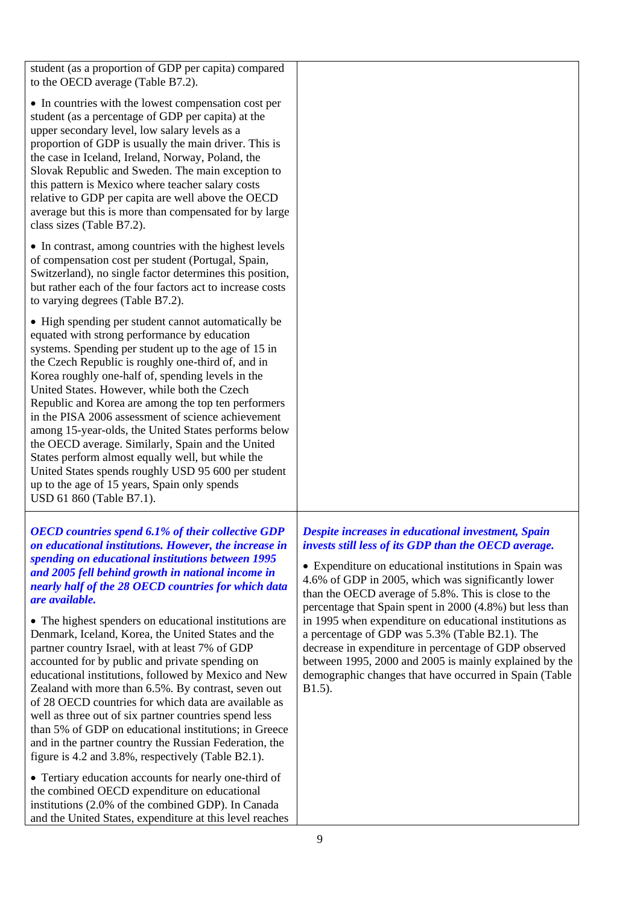student (as a proportion of GDP per capita) compared to the OECD average (Table B7.2).

• In countries with the lowest compensation cost per student (as a percentage of GDP per capita) at the upper secondary level, low salary levels as a proportion of GDP is usually the main driver. This is the case in Iceland, Ireland, Norway, Poland, the Slovak Republic and Sweden. The main exception to this pattern is Mexico where teacher salary costs relative to GDP per capita are well above the OECD average but this is more than compensated for by large class sizes (Table B7.2).

• In contrast, among countries with the highest levels of compensation cost per student (Portugal, Spain, Switzerland), no single factor determines this position, but rather each of the four factors act to increase costs to varying degrees (Table B7.2).

• High spending per student cannot automatically be equated with strong performance by education systems. Spending per student up to the age of 15 in the Czech Republic is roughly one-third of, and in Korea roughly one-half of, spending levels in the United States. However, while both the Czech Republic and Korea are among the top ten performers in the PISA 2006 assessment of science achievement among 15-year-olds, the United States performs below the OECD average. Similarly, Spain and the United States perform almost equally well, but while the United States spends roughly USD 95 600 per student up to the age of 15 years, Spain only spends USD 61 860 (Table B7.1).

*OECD countries spend 6.1% of their collective GDP on educational institutions. However, the increase in spending on educational institutions between 1995 and 2005 fell behind growth in national income in nearly half of the 28 OECD countries for which data are available.*

• The highest spenders on educational institutions are Denmark, Iceland, Korea, the United States and the partner country Israel, with at least 7% of GDP accounted for by public and private spending on educational institutions, followed by Mexico and New Zealand with more than 6.5%. By contrast, seven out of 28 OECD countries for which data are available as well as three out of six partner countries spend less than 5% of GDP on educational institutions; in Greece and in the partner country the Russian Federation, the figure is 4.2 and 3.8%, respectively (Table B2.1).

• Tertiary education accounts for nearly one-third of the combined OECD expenditure on educational institutions (2.0% of the combined GDP). In Canada and the United States, expenditure at this level reaches

# *Despite increases in educational investment, Spain invests still less of its GDP than the OECD average.*

 Expenditure on educational institutions in Spain was 4.6% of GDP in 2005, which was significantly lower than the OECD average of 5.8%. This is close to the percentage that Spain spent in 2000 (4.8%) but less than in 1995 when expenditure on educational institutions as a percentage of GDP was 5.3% (Table B2.1). The decrease in expenditure in percentage of GDP observed between 1995, 2000 and 2005 is mainly explained by the demographic changes that have occurred in Spain (Table **B**1.5).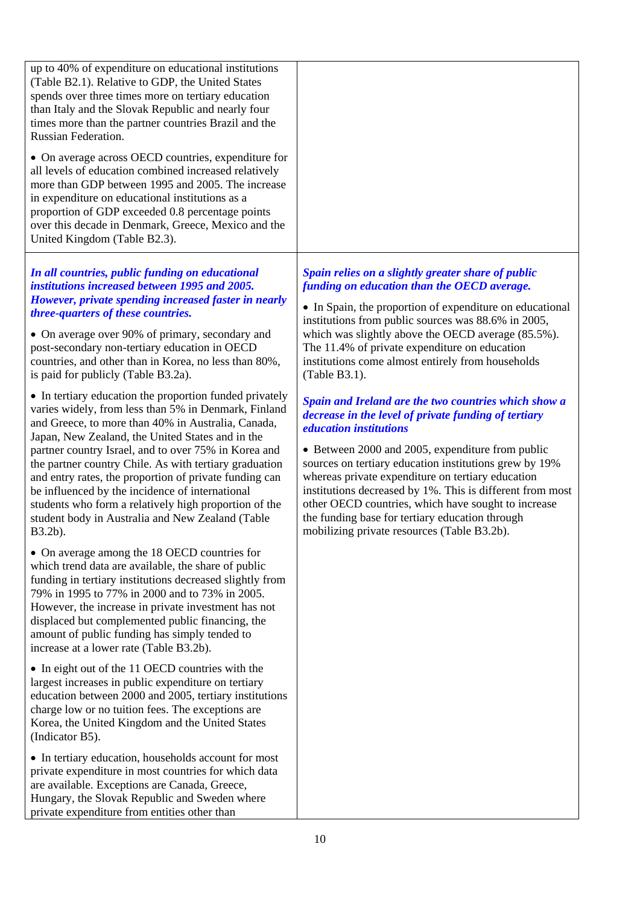| up to 40% of expenditure on educational institutions<br>(Table B2.1). Relative to GDP, the United States<br>spends over three times more on tertiary education<br>than Italy and the Slovak Republic and nearly four<br>times more than the partner countries Brazil and the<br>Russian Federation.                                                                                                                                                                                                                                                                              |                                                                                                                                                                                                                                                                                                                                                                                                                                                                                                                                        |
|----------------------------------------------------------------------------------------------------------------------------------------------------------------------------------------------------------------------------------------------------------------------------------------------------------------------------------------------------------------------------------------------------------------------------------------------------------------------------------------------------------------------------------------------------------------------------------|----------------------------------------------------------------------------------------------------------------------------------------------------------------------------------------------------------------------------------------------------------------------------------------------------------------------------------------------------------------------------------------------------------------------------------------------------------------------------------------------------------------------------------------|
| • On average across OECD countries, expenditure for<br>all levels of education combined increased relatively<br>more than GDP between 1995 and 2005. The increase<br>in expenditure on educational institutions as a<br>proportion of GDP exceeded 0.8 percentage points<br>over this decade in Denmark, Greece, Mexico and the<br>United Kingdom (Table B2.3).                                                                                                                                                                                                                  |                                                                                                                                                                                                                                                                                                                                                                                                                                                                                                                                        |
| In all countries, public funding on educational<br>institutions increased between 1995 and 2005.<br>However, private spending increased faster in nearly<br>three-quarters of these countries.<br>• On average over 90% of primary, secondary and<br>post-secondary non-tertiary education in OECD<br>countries, and other than in Korea, no less than 80%,<br>is paid for publicly (Table B3.2a).                                                                                                                                                                               | Spain relies on a slightly greater share of public<br>funding on education than the OECD average.<br>• In Spain, the proportion of expenditure on educational<br>institutions from public sources was 88.6% in 2005,<br>which was slightly above the OECD average (85.5%).<br>The 11.4% of private expenditure on education<br>institutions come almost entirely from households<br>(Table B3.1).                                                                                                                                      |
| • In tertiary education the proportion funded privately<br>varies widely, from less than 5% in Denmark, Finland<br>and Greece, to more than 40% in Australia, Canada,<br>Japan, New Zealand, the United States and in the<br>partner country Israel, and to over 75% in Korea and<br>the partner country Chile. As with tertiary graduation<br>and entry rates, the proportion of private funding can<br>be influenced by the incidence of international<br>students who form a relatively high proportion of the<br>student body in Australia and New Zealand (Table<br>B3.2b). | Spain and Ireland are the two countries which show a<br>decrease in the level of private funding of tertiary<br><i>education institutions</i><br>• Between 2000 and 2005, expenditure from public<br>sources on tertiary education institutions grew by 19%<br>whereas private expenditure on tertiary education<br>institutions decreased by 1%. This is different from most<br>other OECD countries, which have sought to increase<br>the funding base for tertiary education through<br>mobilizing private resources (Table B3.2b). |
| • On average among the 18 OECD countries for<br>which trend data are available, the share of public<br>funding in tertiary institutions decreased slightly from<br>79% in 1995 to 77% in 2000 and to 73% in 2005.<br>However, the increase in private investment has not<br>displaced but complemented public financing, the<br>amount of public funding has simply tended to<br>increase at a lower rate (Table B3.2b).                                                                                                                                                         |                                                                                                                                                                                                                                                                                                                                                                                                                                                                                                                                        |
| • In eight out of the 11 OECD countries with the<br>largest increases in public expenditure on tertiary<br>education between 2000 and 2005, tertiary institutions<br>charge low or no tuition fees. The exceptions are<br>Korea, the United Kingdom and the United States<br>(Indicator B5).                                                                                                                                                                                                                                                                                     |                                                                                                                                                                                                                                                                                                                                                                                                                                                                                                                                        |
| • In tertiary education, households account for most<br>private expenditure in most countries for which data<br>are available. Exceptions are Canada, Greece,<br>Hungary, the Slovak Republic and Sweden where                                                                                                                                                                                                                                                                                                                                                                   |                                                                                                                                                                                                                                                                                                                                                                                                                                                                                                                                        |

private expenditure from entities other than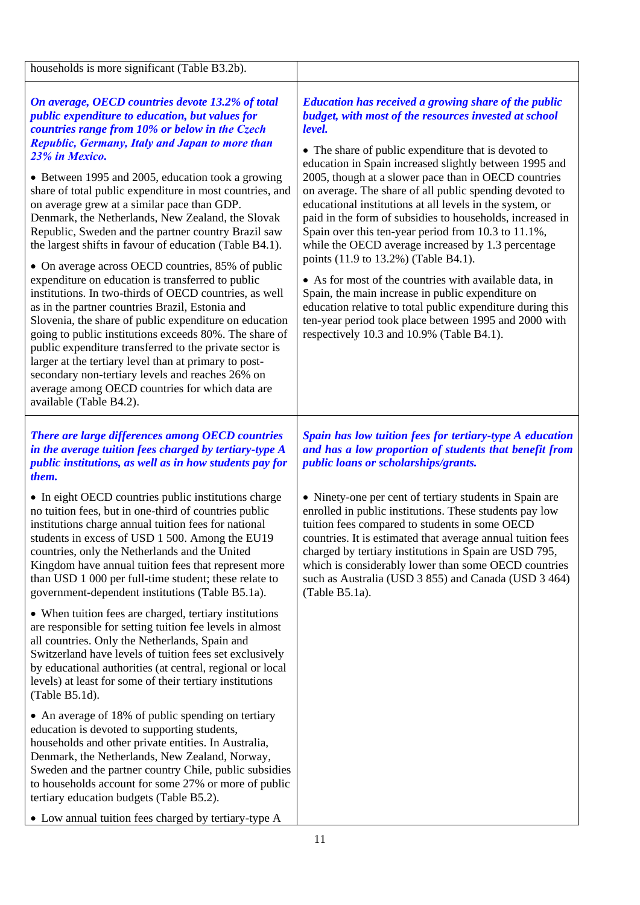| households is more significant (Table B3.2b).                                                                                                                                                                                                                                                                                                                                                                                                                                                                                                                                                                                                                                                                                                                                                                                                                                                                                                                                                                                                                                                                                                                                    |                                                                                                                                                                                                                                                                                                                                                                                                                                                                                                                                                                                                                                                                                                                                                                                                                                                                                                                                      |
|----------------------------------------------------------------------------------------------------------------------------------------------------------------------------------------------------------------------------------------------------------------------------------------------------------------------------------------------------------------------------------------------------------------------------------------------------------------------------------------------------------------------------------------------------------------------------------------------------------------------------------------------------------------------------------------------------------------------------------------------------------------------------------------------------------------------------------------------------------------------------------------------------------------------------------------------------------------------------------------------------------------------------------------------------------------------------------------------------------------------------------------------------------------------------------|--------------------------------------------------------------------------------------------------------------------------------------------------------------------------------------------------------------------------------------------------------------------------------------------------------------------------------------------------------------------------------------------------------------------------------------------------------------------------------------------------------------------------------------------------------------------------------------------------------------------------------------------------------------------------------------------------------------------------------------------------------------------------------------------------------------------------------------------------------------------------------------------------------------------------------------|
| On average, OECD countries devote 13.2% of total<br><i>public expenditure to education, but values for</i><br>countries range from 10% or below in the Czech<br><b>Republic, Germany, Italy and Japan to more than</b><br>23% in Mexico.<br>• Between 1995 and 2005, education took a growing<br>share of total public expenditure in most countries, and<br>on average grew at a similar pace than GDP.<br>Denmark, the Netherlands, New Zealand, the Slovak<br>Republic, Sweden and the partner country Brazil saw<br>the largest shifts in favour of education (Table B4.1).<br>• On average across OECD countries, 85% of public<br>expenditure on education is transferred to public<br>institutions. In two-thirds of OECD countries, as well<br>as in the partner countries Brazil, Estonia and<br>Slovenia, the share of public expenditure on education<br>going to public institutions exceeds 80%. The share of<br>public expenditure transferred to the private sector is<br>larger at the tertiary level than at primary to post-<br>secondary non-tertiary levels and reaches 26% on<br>average among OECD countries for which data are<br>available (Table B4.2). | <b>Education has received a growing share of the public</b><br>budget, with most of the resources invested at school<br>level.<br>• The share of public expenditure that is devoted to<br>education in Spain increased slightly between 1995 and<br>2005, though at a slower pace than in OECD countries<br>on average. The share of all public spending devoted to<br>educational institutions at all levels in the system, or<br>paid in the form of subsidies to households, increased in<br>Spain over this ten-year period from 10.3 to 11.1%,<br>while the OECD average increased by 1.3 percentage<br>points (11.9 to 13.2%) (Table B4.1).<br>• As for most of the countries with available data, in<br>Spain, the main increase in public expenditure on<br>education relative to total public expenditure during this<br>ten-year period took place between 1995 and 2000 with<br>respectively 10.3 and 10.9% (Table B4.1). |
| <b>There are large differences among OECD countries</b><br>in the average tuition fees charged by tertiary-type A<br>public institutions, as well as in how students pay for<br>them.                                                                                                                                                                                                                                                                                                                                                                                                                                                                                                                                                                                                                                                                                                                                                                                                                                                                                                                                                                                            | Spain has low tuition fees for tertiary-type A education<br>and has a low proportion of students that benefit from<br>public loans or scholarships/grants.                                                                                                                                                                                                                                                                                                                                                                                                                                                                                                                                                                                                                                                                                                                                                                           |
| • In eight OECD countries public institutions charge<br>no tuition fees, but in one-third of countries public<br>institutions charge annual tuition fees for national<br>students in excess of USD 1 500. Among the EU19<br>countries, only the Netherlands and the United<br>Kingdom have annual tuition fees that represent more<br>than USD 1 000 per full-time student; these relate to<br>government-dependent institutions (Table B5.1a).                                                                                                                                                                                                                                                                                                                                                                                                                                                                                                                                                                                                                                                                                                                                  | • Ninety-one per cent of tertiary students in Spain are<br>enrolled in public institutions. These students pay low<br>tuition fees compared to students in some OECD<br>countries. It is estimated that average annual tuition fees<br>charged by tertiary institutions in Spain are USD 795,<br>which is considerably lower than some OECD countries<br>such as Australia (USD 3 855) and Canada (USD 3 464)<br>$(Table B5.1a)$ .                                                                                                                                                                                                                                                                                                                                                                                                                                                                                                   |
| • When tuition fees are charged, tertiary institutions<br>are responsible for setting tuition fee levels in almost<br>all countries. Only the Netherlands, Spain and<br>Switzerland have levels of tuition fees set exclusively<br>by educational authorities (at central, regional or local<br>levels) at least for some of their tertiary institutions<br>(Table B5.1d).                                                                                                                                                                                                                                                                                                                                                                                                                                                                                                                                                                                                                                                                                                                                                                                                       |                                                                                                                                                                                                                                                                                                                                                                                                                                                                                                                                                                                                                                                                                                                                                                                                                                                                                                                                      |
| • An average of 18% of public spending on tertiary<br>education is devoted to supporting students,<br>households and other private entities. In Australia,<br>Denmark, the Netherlands, New Zealand, Norway,<br>Sweden and the partner country Chile, public subsidies<br>to households account for some 27% or more of public<br>tertiary education budgets (Table B5.2).                                                                                                                                                                                                                                                                                                                                                                                                                                                                                                                                                                                                                                                                                                                                                                                                       |                                                                                                                                                                                                                                                                                                                                                                                                                                                                                                                                                                                                                                                                                                                                                                                                                                                                                                                                      |
| • Low annual tuition fees charged by tertiary-type A                                                                                                                                                                                                                                                                                                                                                                                                                                                                                                                                                                                                                                                                                                                                                                                                                                                                                                                                                                                                                                                                                                                             | 11                                                                                                                                                                                                                                                                                                                                                                                                                                                                                                                                                                                                                                                                                                                                                                                                                                                                                                                                   |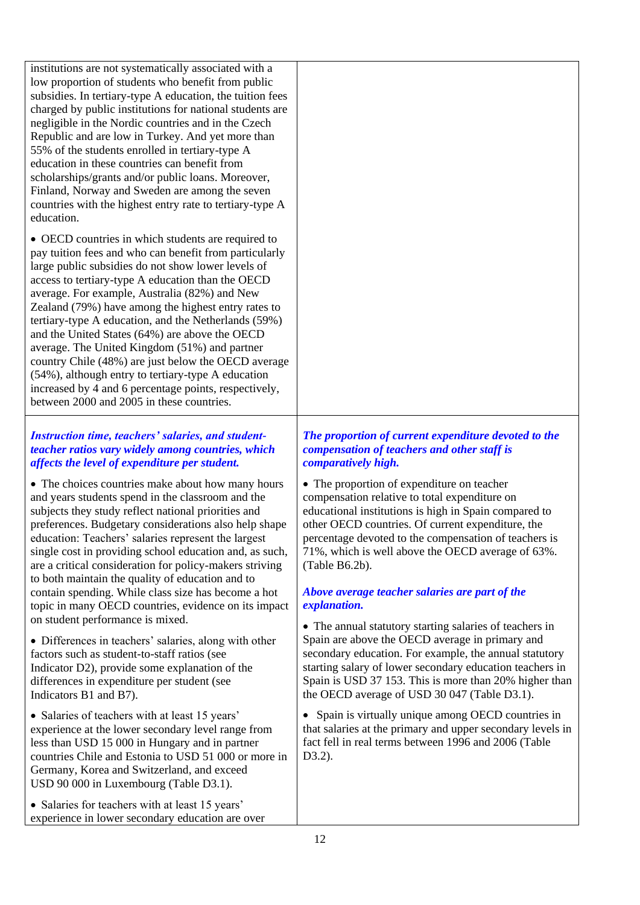institutions are not systematically associated with a low proportion of students who benefit from public subsidies. In tertiary-type A education, the tuition fees charged by public institutions for national students are negligible in the Nordic countries and in the Czech Republic and are low in Turkey. And yet more than 55% of the students enrolled in tertiary-type A education in these countries can benefit from scholarships/grants and/or public loans. Moreover, Finland, Norway and Sweden are among the seven countries with the highest entry rate to tertiary-type A education.

 OECD countries in which students are required to pay tuition fees and who can benefit from particularly large public subsidies do not show lower levels of access to tertiary-type A education than the OECD average. For example, Australia (82%) and New Zealand (79%) have among the highest entry rates to tertiary-type A education, and the Netherlands (59%) and the United States (64%) are above the OECD average. The United Kingdom (51%) and partner country Chile (48%) are just below the OECD average (54%), although entry to tertiary-type A education increased by 4 and 6 percentage points, respectively, between 2000 and 2005 in these countries.

## *Instruction time, teachers' salaries, and studentteacher ratios vary widely among countries, which affects the level of expenditure per student.*

• The choices countries make about how many hours and years students spend in the classroom and the subjects they study reflect national priorities and preferences. Budgetary considerations also help shape education: Teachers' salaries represent the largest single cost in providing school education and, as such, are a critical consideration for policy-makers striving to both maintain the quality of education and to contain spending. While class size has become a hot topic in many OECD countries, evidence on its impact on student performance is mixed.

 Differences in teachers' salaries, along with other factors such as student-to-staff ratios (see Indicator D2), provide some explanation of the differences in expenditure per student (see Indicators B1 and B7).

• Salaries of teachers with at least 15 years' experience at the lower secondary level range from less than USD 15 000 in Hungary and in partner countries Chile and Estonia to USD 51 000 or more in Germany, Korea and Switzerland, and exceed USD 90 000 in Luxembourg (Table D3.1).

• Salaries for teachers with at least 15 years' experience in lower secondary education are over

## *The proportion of current expenditure devoted to the compensation of teachers and other staff is comparatively high.*

• The proportion of expenditure on teacher compensation relative to total expenditure on educational institutions is high in Spain compared to other OECD countries. Of current expenditure, the percentage devoted to the compensation of teachers is 71%, which is well above the OECD average of 63%. (Table B6.2b).

# *Above average teacher salaries are part of the explanation.*

 The annual statutory starting salaries of teachers in Spain are above the OECD average in primary and secondary education. For example, the annual statutory starting salary of lower secondary education teachers in Spain is USD 37 153. This is more than 20% higher than the OECD average of USD 30 047 (Table D3.1).

• Spain is virtually unique among OECD countries in that salaries at the primary and upper secondary levels in fact fell in real terms between 1996 and 2006 (Table D3.2).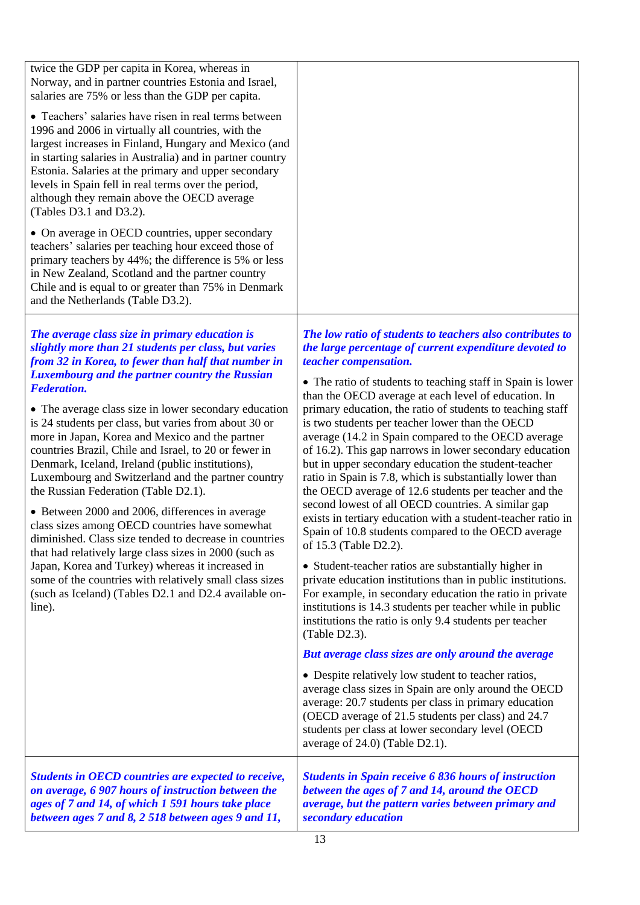| twice the GDP per capita in Korea, whereas in<br>Norway, and in partner countries Estonia and Israel,                                                                                                                                                                                                                                                                                                                                                                                                                                                                                                                                                                                                                                                                                                                                                                                                                                                                                                                                   |                                                                                                                                                                                                                                                                                                                                                                                                                                                                                                                                                                                                                                                                                                                                                                                                                                                                                                                                                                                                                                                                                                                                                                                                                                                                                                                                                                                                                                                                                                                                                                                                    |
|-----------------------------------------------------------------------------------------------------------------------------------------------------------------------------------------------------------------------------------------------------------------------------------------------------------------------------------------------------------------------------------------------------------------------------------------------------------------------------------------------------------------------------------------------------------------------------------------------------------------------------------------------------------------------------------------------------------------------------------------------------------------------------------------------------------------------------------------------------------------------------------------------------------------------------------------------------------------------------------------------------------------------------------------|----------------------------------------------------------------------------------------------------------------------------------------------------------------------------------------------------------------------------------------------------------------------------------------------------------------------------------------------------------------------------------------------------------------------------------------------------------------------------------------------------------------------------------------------------------------------------------------------------------------------------------------------------------------------------------------------------------------------------------------------------------------------------------------------------------------------------------------------------------------------------------------------------------------------------------------------------------------------------------------------------------------------------------------------------------------------------------------------------------------------------------------------------------------------------------------------------------------------------------------------------------------------------------------------------------------------------------------------------------------------------------------------------------------------------------------------------------------------------------------------------------------------------------------------------------------------------------------------------|
| salaries are 75% or less than the GDP per capita.<br>• Teachers' salaries have risen in real terms between<br>1996 and 2006 in virtually all countries, with the<br>largest increases in Finland, Hungary and Mexico (and<br>in starting salaries in Australia) and in partner country<br>Estonia. Salaries at the primary and upper secondary<br>levels in Spain fell in real terms over the period,<br>although they remain above the OECD average<br>(Tables D3.1 and D3.2).<br>• On average in OECD countries, upper secondary<br>teachers' salaries per teaching hour exceed those of<br>primary teachers by 44%; the difference is 5% or less<br>in New Zealand, Scotland and the partner country<br>Chile and is equal to or greater than 75% in Denmark<br>and the Netherlands (Table D3.2).                                                                                                                                                                                                                                    |                                                                                                                                                                                                                                                                                                                                                                                                                                                                                                                                                                                                                                                                                                                                                                                                                                                                                                                                                                                                                                                                                                                                                                                                                                                                                                                                                                                                                                                                                                                                                                                                    |
| The average class size in primary education is<br>slightly more than 21 students per class, but varies<br>from 32 in Korea, to fewer than half that number in<br><b>Luxembourg and the partner country the Russian</b><br><b>Federation.</b><br>• The average class size in lower secondary education<br>is 24 students per class, but varies from about 30 or<br>more in Japan, Korea and Mexico and the partner<br>countries Brazil, Chile and Israel, to 20 or fewer in<br>Denmark, Iceland, Ireland (public institutions),<br>Luxembourg and Switzerland and the partner country<br>the Russian Federation (Table D2.1).<br>• Between 2000 and 2006, differences in average<br>class sizes among OECD countries have somewhat<br>diminished. Class size tended to decrease in countries<br>that had relatively large class sizes in 2000 (such as<br>Japan, Korea and Turkey) whereas it increased in<br>some of the countries with relatively small class sizes<br>(such as Iceland) (Tables D2.1 and D2.4 available on-<br>line). | The low ratio of students to teachers also contributes to<br>the large percentage of current expenditure devoted to<br>teacher compensation.<br>• The ratio of students to teaching staff in Spain is lower<br>than the OECD average at each level of education. In<br>primary education, the ratio of students to teaching staff<br>is two students per teacher lower than the OECD<br>average (14.2 in Spain compared to the OECD average<br>of 16.2). This gap narrows in lower secondary education<br>but in upper secondary education the student-teacher<br>ratio in Spain is 7.8, which is substantially lower than<br>the OECD average of 12.6 students per teacher and the<br>second lowest of all OECD countries. A similar gap<br>exists in tertiary education with a student-teacher ratio in<br>Spain of 10.8 students compared to the OECD average<br>of 15.3 (Table D2.2).<br>• Student-teacher ratios are substantially higher in<br>private education institutions than in public institutions.<br>For example, in secondary education the ratio in private<br>institutions is 14.3 students per teacher while in public<br>institutions the ratio is only 9.4 students per teacher<br>(Table D2.3).<br>But average class sizes are only around the average<br>• Despite relatively low student to teacher ratios,<br>average class sizes in Spain are only around the OECD<br>average: 20.7 students per class in primary education<br>(OECD average of 21.5 students per class) and 24.7<br>students per class at lower secondary level (OECD<br>average of 24.0) (Table D2.1). |
| Students in OECD countries are expected to receive,<br>on average, 6 907 hours of instruction between the<br>ages of 7 and 14, of which 1 591 hours take place<br>between ages 7 and 8, 2 518 between ages 9 and 11,                                                                                                                                                                                                                                                                                                                                                                                                                                                                                                                                                                                                                                                                                                                                                                                                                    | <b>Students in Spain receive 6 836 hours of instruction</b><br>between the ages of 7 and 14, around the OECD<br>average, but the pattern varies between primary and<br>secondary education                                                                                                                                                                                                                                                                                                                                                                                                                                                                                                                                                                                                                                                                                                                                                                                                                                                                                                                                                                                                                                                                                                                                                                                                                                                                                                                                                                                                         |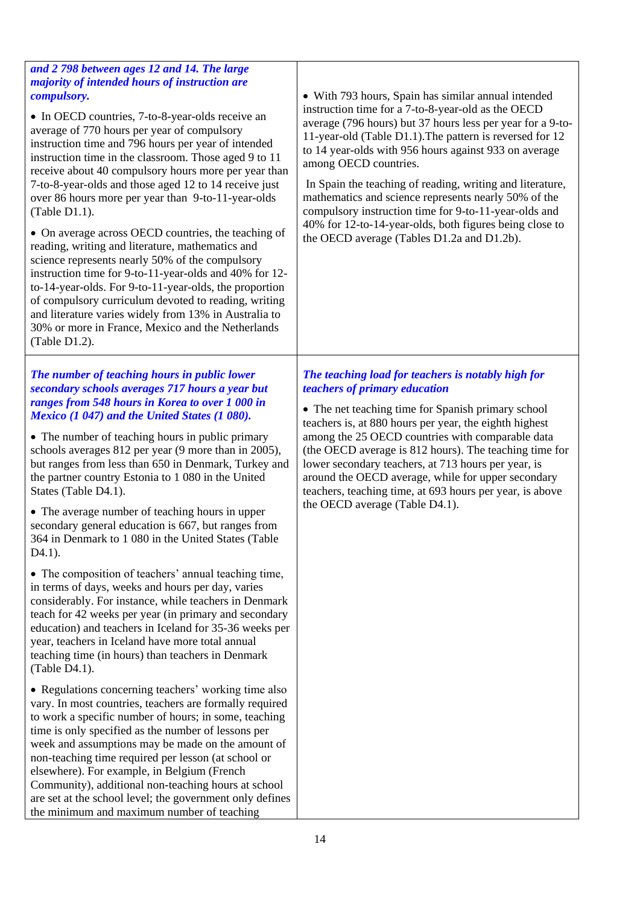| 7-to-8-year-olds and those aged 12 to 14 receive just<br>In Spain the teaching of reading, writing and literature,<br>mathematics and science represents nearly 50% of the<br>over 86 hours more per year than 9-to-11-year-olds<br>compulsory instruction time for 9-to-11-year-olds and<br>(Table D1.1).<br>40% for 12-to-14-year-olds, both figures being close to<br>• On average across OECD countries, the teaching of<br>the OECD average (Tables D1.2a and D1.2b).<br>reading, writing and literature, mathematics and<br>science represents nearly 50% of the compulsory<br>instruction time for 9-to-11-year-olds and 40% for 12-<br>to-14-year-olds. For 9-to-11-year-olds, the proportion<br>of compulsory curriculum devoted to reading, writing<br>and literature varies widely from 13% in Australia to<br>30% or more in France, Mexico and the Netherlands<br>(Table D1.2).                                                                                                                                                                                                                                                                                                                                                                                                                                                                                                                                                                                                                                                                                                                                                                                             |                                                                                                                                                                                                                                                                                                                                                                                                                                                           |
|------------------------------------------------------------------------------------------------------------------------------------------------------------------------------------------------------------------------------------------------------------------------------------------------------------------------------------------------------------------------------------------------------------------------------------------------------------------------------------------------------------------------------------------------------------------------------------------------------------------------------------------------------------------------------------------------------------------------------------------------------------------------------------------------------------------------------------------------------------------------------------------------------------------------------------------------------------------------------------------------------------------------------------------------------------------------------------------------------------------------------------------------------------------------------------------------------------------------------------------------------------------------------------------------------------------------------------------------------------------------------------------------------------------------------------------------------------------------------------------------------------------------------------------------------------------------------------------------------------------------------------------------------------------------------------------|-----------------------------------------------------------------------------------------------------------------------------------------------------------------------------------------------------------------------------------------------------------------------------------------------------------------------------------------------------------------------------------------------------------------------------------------------------------|
| The number of teaching hours in public lower<br>teachers of primary education<br>secondary schools averages 717 hours a year but<br>ranges from 548 hours in Korea to over 1 000 in<br>Mexico (1 047) and the United States (1 080).<br>• The number of teaching hours in public primary<br>schools averages 812 per year (9 more than in 2005),<br>but ranges from less than 650 in Denmark, Turkey and<br>the partner country Estonia to 1 080 in the United<br>States (Table D4.1).<br>the OECD average (Table D4.1).<br>• The average number of teaching hours in upper<br>secondary general education is 667, but ranges from<br>364 in Denmark to 1 080 in the United States (Table<br>$D4.1$ ).<br>• The composition of teachers' annual teaching time,<br>in terms of days, weeks and hours per day, varies<br>considerably. For instance, while teachers in Denmark<br>teach for 42 weeks per year (in primary and secondary<br>education) and teachers in Iceland for 35-36 weeks per<br>year, teachers in Iceland have more total annual<br>teaching time (in hours) than teachers in Denmark<br>(Table D4.1).<br>• Regulations concerning teachers' working time also<br>vary. In most countries, teachers are formally required<br>to work a specific number of hours; in some, teaching<br>time is only specified as the number of lessons per<br>week and assumptions may be made on the amount of<br>non-teaching time required per lesson (at school or<br>elsewhere). For example, in Belgium (French<br>Community), additional non-teaching hours at school<br>are set at the school level; the government only defines<br>the minimum and maximum number of teaching | The teaching load for teachers is notably high for<br>• The net teaching time for Spanish primary school<br>teachers is, at 880 hours per year, the eighth highest<br>among the 25 OECD countries with comparable data<br>(the OECD average is 812 hours). The teaching time for<br>lower secondary teachers, at 713 hours per year, is<br>around the OECD average, while for upper secondary<br>teachers, teaching time, at 693 hours per year, is above |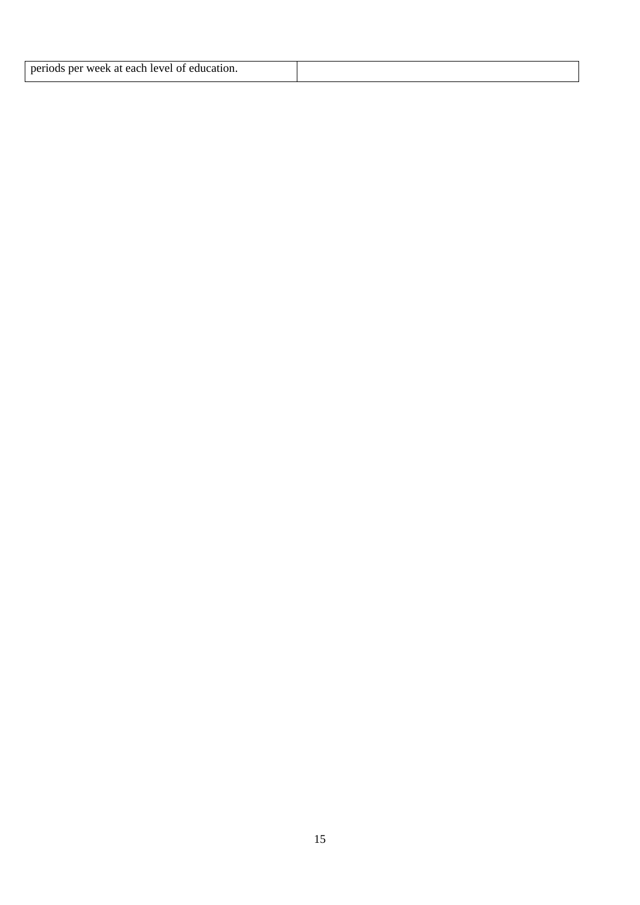| neriod<br>week at each<br><b>leve</b><br>ne:<br>ж<br>чног. |  |
|------------------------------------------------------------|--|
|------------------------------------------------------------|--|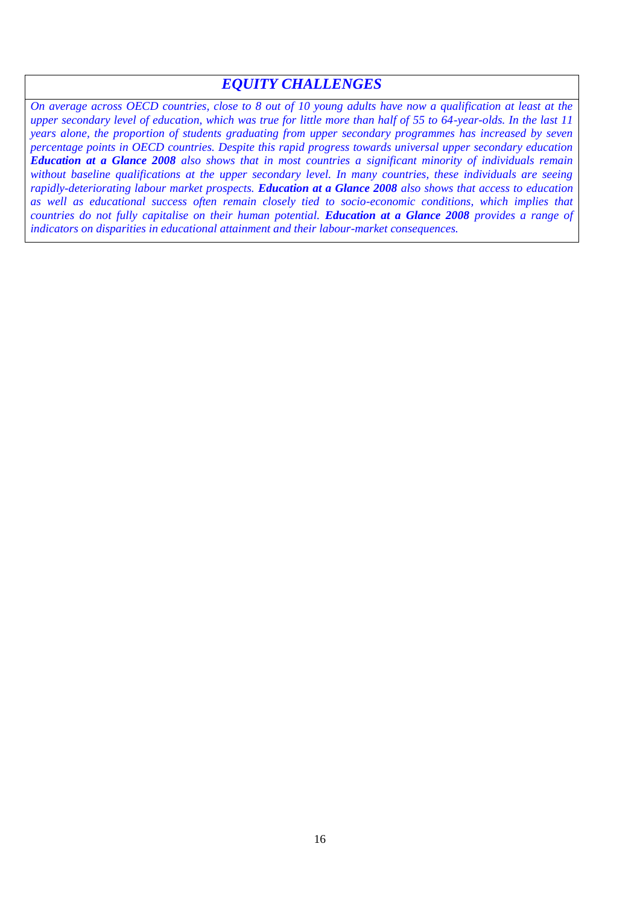# *EQUITY CHALLENGES*

*On average across OECD countries, close to 8 out of 10 young adults have now a qualification at least at the upper secondary level of education, which was true for little more than half of 55 to 64-year-olds. In the last 11 years alone, the proportion of students graduating from upper secondary programmes has increased by seven percentage points in OECD countries. Despite this rapid progress towards universal upper secondary education Education at a Glance 2008 also shows that in most countries a significant minority of individuals remain without baseline qualifications at the upper secondary level. In many countries, these individuals are seeing rapidly-deteriorating labour market prospects. Education at a Glance 2008 also shows that access to education as well as educational success often remain closely tied to socio-economic conditions, which implies that countries do not fully capitalise on their human potential. Education at a Glance 2008 provides a range of indicators on disparities in educational attainment and their labour-market consequences.*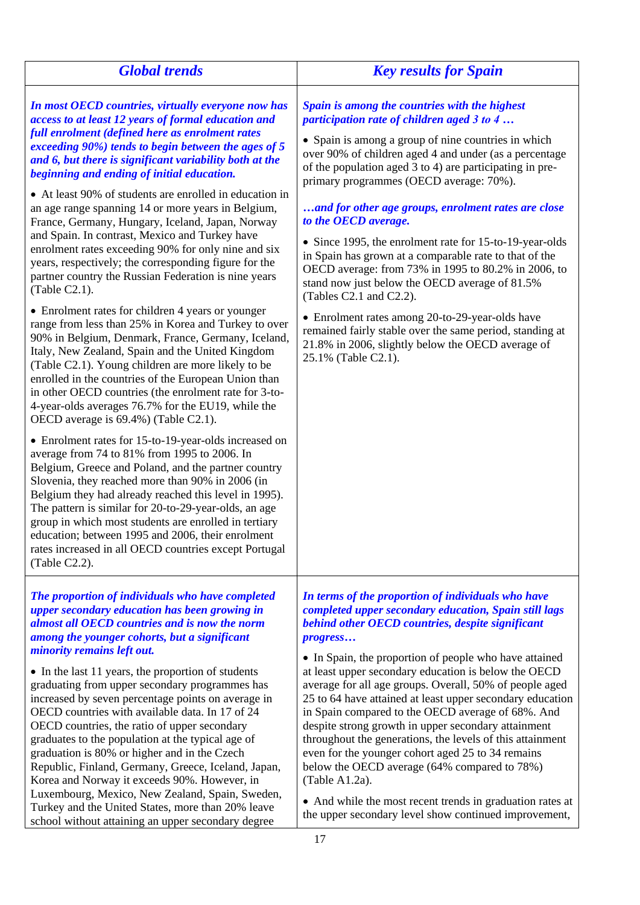| <b>Global trends</b>                                                                                                                                                                                                                                                                                                                                                                                                                                                                                                                                                                                                                                                                                                                                                                                                                                                                                                                                                                                                                                                                                                                                                                                                                                                                                                                                                                                                                                                                                                                                                                                                                                                                                                                                                   | <b>Key results for Spain</b>                                                                                                                                                                                                                                                                                                                                                                                                                                                                                                                                                                                                                                                                                                                                                                                                                           |
|------------------------------------------------------------------------------------------------------------------------------------------------------------------------------------------------------------------------------------------------------------------------------------------------------------------------------------------------------------------------------------------------------------------------------------------------------------------------------------------------------------------------------------------------------------------------------------------------------------------------------------------------------------------------------------------------------------------------------------------------------------------------------------------------------------------------------------------------------------------------------------------------------------------------------------------------------------------------------------------------------------------------------------------------------------------------------------------------------------------------------------------------------------------------------------------------------------------------------------------------------------------------------------------------------------------------------------------------------------------------------------------------------------------------------------------------------------------------------------------------------------------------------------------------------------------------------------------------------------------------------------------------------------------------------------------------------------------------------------------------------------------------|--------------------------------------------------------------------------------------------------------------------------------------------------------------------------------------------------------------------------------------------------------------------------------------------------------------------------------------------------------------------------------------------------------------------------------------------------------------------------------------------------------------------------------------------------------------------------------------------------------------------------------------------------------------------------------------------------------------------------------------------------------------------------------------------------------------------------------------------------------|
| In most OECD countries, virtually everyone now has<br>access to at least 12 years of formal education and<br>full enrolment (defined here as enrolment rates<br>exceeding 90%) tends to begin between the ages of 5<br>and 6, but there is significant variability both at the<br>beginning and ending of initial education.<br>• At least 90% of students are enrolled in education in<br>an age range spanning 14 or more years in Belgium,<br>France, Germany, Hungary, Iceland, Japan, Norway<br>and Spain. In contrast, Mexico and Turkey have<br>enrolment rates exceeding 90% for only nine and six<br>years, respectively; the corresponding figure for the<br>partner country the Russian Federation is nine years<br>(Table C2.1).<br>• Enrolment rates for children 4 years or younger<br>range from less than 25% in Korea and Turkey to over<br>90% in Belgium, Denmark, France, Germany, Iceland,<br>Italy, New Zealand, Spain and the United Kingdom<br>(Table C2.1). Young children are more likely to be<br>enrolled in the countries of the European Union than<br>in other OECD countries (the enrolment rate for 3-to-<br>4-year-olds averages 76.7% for the EU19, while the<br>OECD average is 69.4%) (Table C2.1).<br>• Enrolment rates for 15-to-19-year-olds increased on<br>average from 74 to 81% from 1995 to 2006. In<br>Belgium, Greece and Poland, and the partner country<br>Slovenia, they reached more than 90% in 2006 (in<br>Belgium they had already reached this level in 1995).<br>The pattern is similar for 20-to-29-year-olds, an age<br>group in which most students are enrolled in tertiary<br>education; between 1995 and 2006, their enrolment<br>rates increased in all OECD countries except Portugal<br>(Table C2.2). | Spain is among the countries with the highest<br>participation rate of children aged 3 to 4<br>• Spain is among a group of nine countries in which<br>over 90% of children aged 4 and under (as a percentage<br>of the population aged 3 to 4) are participating in pre-<br>primary programmes (OECD average: 70%).<br>and for other age groups, enrolment rates are close<br>to the OECD average.<br>• Since 1995, the enrolment rate for 15-to-19-year-olds<br>in Spain has grown at a comparable rate to that of the<br>OECD average: from 73% in 1995 to 80.2% in 2006, to<br>stand now just below the OECD average of 81.5%<br>(Tables C2.1 and C2.2).<br>• Enrolment rates among 20-to-29-year-olds have<br>remained fairly stable over the same period, standing at<br>21.8% in 2006, slightly below the OECD average of<br>25.1% (Table C2.1). |
| The proportion of individuals who have completed<br>upper secondary education has been growing in<br>almost all OECD countries and is now the norm<br>among the younger cohorts, but a significant<br>minority remains left out.<br>• In the last 11 years, the proportion of students<br>graduating from upper secondary programmes has<br>increased by seven percentage points on average in<br>OECD countries with available data. In 17 of 24<br>OECD countries, the ratio of upper secondary<br>graduates to the population at the typical age of<br>graduation is 80% or higher and in the Czech<br>Republic, Finland, Germany, Greece, Iceland, Japan,<br>Korea and Norway it exceeds 90%. However, in<br>Luxembourg, Mexico, New Zealand, Spain, Sweden,<br>Turkey and the United States, more than 20% leave<br>school without attaining an upper secondary degree                                                                                                                                                                                                                                                                                                                                                                                                                                                                                                                                                                                                                                                                                                                                                                                                                                                                                            | In terms of the proportion of individuals who have<br>completed upper secondary education, Spain still lags<br>behind other OECD countries, despite significant<br>progress<br>• In Spain, the proportion of people who have attained<br>at least upper secondary education is below the OECD<br>average for all age groups. Overall, 50% of people aged<br>25 to 64 have attained at least upper secondary education<br>in Spain compared to the OECD average of 68%. And<br>despite strong growth in upper secondary attainment<br>throughout the generations, the levels of this attainment<br>even for the younger cohort aged 25 to 34 remains<br>below the OECD average (64% compared to 78%)<br>(Table A1.2a).<br>• And while the most recent trends in graduation rates at<br>the upper secondary level show continued improvement,            |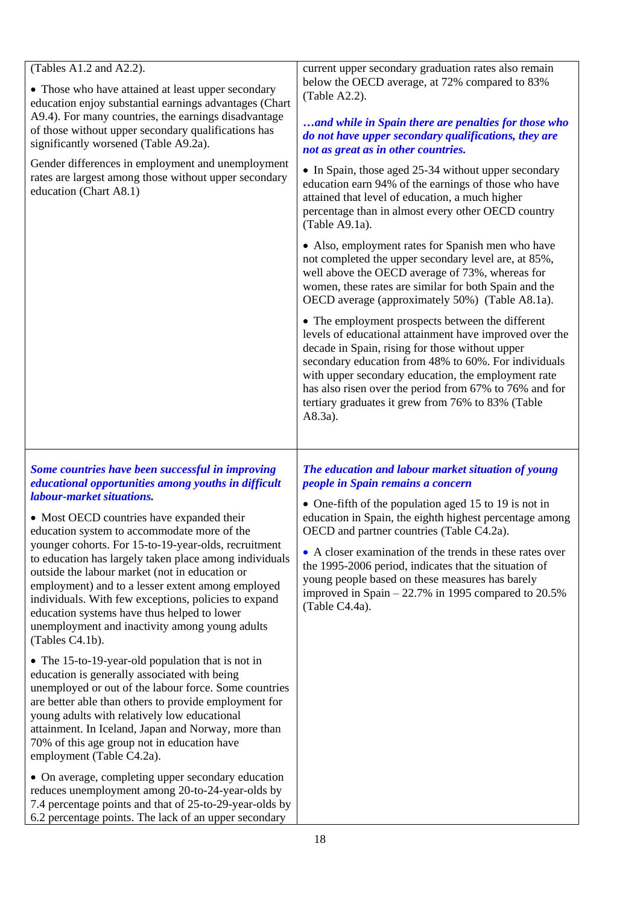| (Tables A1.2 and A2.2).<br>• Those who have attained at least upper secondary<br>education enjoy substantial earnings advantages (Chart<br>A9.4). For many countries, the earnings disadvantage<br>of those without upper secondary qualifications has<br>significantly worsened (Table A9.2a).                                                                                                                                                                                                                                                                                                                                       | current upper secondary graduation rates also remain<br>below the OECD average, at 72% compared to 83%<br>(Table A2.2).<br>and while in Spain there are penalties for those who<br>do not have upper secondary qualifications, they are<br>not as great as in other countries.                                                                                                                                                                                                                              |
|---------------------------------------------------------------------------------------------------------------------------------------------------------------------------------------------------------------------------------------------------------------------------------------------------------------------------------------------------------------------------------------------------------------------------------------------------------------------------------------------------------------------------------------------------------------------------------------------------------------------------------------|-------------------------------------------------------------------------------------------------------------------------------------------------------------------------------------------------------------------------------------------------------------------------------------------------------------------------------------------------------------------------------------------------------------------------------------------------------------------------------------------------------------|
| Gender differences in employment and unemployment<br>rates are largest among those without upper secondary<br>education (Chart A8.1)                                                                                                                                                                                                                                                                                                                                                                                                                                                                                                  | • In Spain, those aged 25-34 without upper secondary<br>education earn 94% of the earnings of those who have<br>attained that level of education, a much higher<br>percentage than in almost every other OECD country<br>(Table A9.1a).                                                                                                                                                                                                                                                                     |
|                                                                                                                                                                                                                                                                                                                                                                                                                                                                                                                                                                                                                                       | • Also, employment rates for Spanish men who have<br>not completed the upper secondary level are, at 85%,<br>well above the OECD average of 73%, whereas for<br>women, these rates are similar for both Spain and the<br>OECD average (approximately 50%) (Table A8.1a).                                                                                                                                                                                                                                    |
|                                                                                                                                                                                                                                                                                                                                                                                                                                                                                                                                                                                                                                       | • The employment prospects between the different<br>levels of educational attainment have improved over the<br>decade in Spain, rising for those without upper<br>secondary education from 48% to 60%. For individuals<br>with upper secondary education, the employment rate<br>has also risen over the period from 67% to 76% and for<br>tertiary graduates it grew from 76% to 83% (Table<br>A8.3a).                                                                                                     |
| Some countries have been successful in improving<br>educational opportunities among youths in difficult<br>labour-market situations.<br>• Most OECD countries have expanded their<br>education system to accommodate more of the<br>younger cohorts. For 15-to-19-year-olds, recruitment<br>to education has largely taken place among individuals<br>outside the labour market (not in education or<br>employment) and to a lesser extent among employed<br>individuals. With few exceptions, policies to expand<br>education systems have thus helped to lower<br>unemployment and inactivity among young adults<br>(Tables C4.1b). | The education and labour market situation of young<br>people in Spain remains a concern<br>• One-fifth of the population aged 15 to 19 is not in<br>education in Spain, the eighth highest percentage among<br>OECD and partner countries (Table C4.2a).<br>• A closer examination of the trends in these rates over<br>the 1995-2006 period, indicates that the situation of<br>young people based on these measures has barely<br>improved in Spain $-22.7\%$ in 1995 compared to 20.5%<br>(Table C4.4a). |
| • The 15-to-19-year-old population that is not in<br>education is generally associated with being<br>unemployed or out of the labour force. Some countries<br>are better able than others to provide employment for<br>young adults with relatively low educational<br>attainment. In Iceland, Japan and Norway, more than<br>70% of this age group not in education have<br>employment (Table C4.2a).                                                                                                                                                                                                                                |                                                                                                                                                                                                                                                                                                                                                                                                                                                                                                             |
| • On average, completing upper secondary education<br>reduces unemployment among 20-to-24-year-olds by<br>7.4 percentage points and that of 25-to-29-year-olds by<br>6.2 percentage points. The lack of an upper secondary                                                                                                                                                                                                                                                                                                                                                                                                            |                                                                                                                                                                                                                                                                                                                                                                                                                                                                                                             |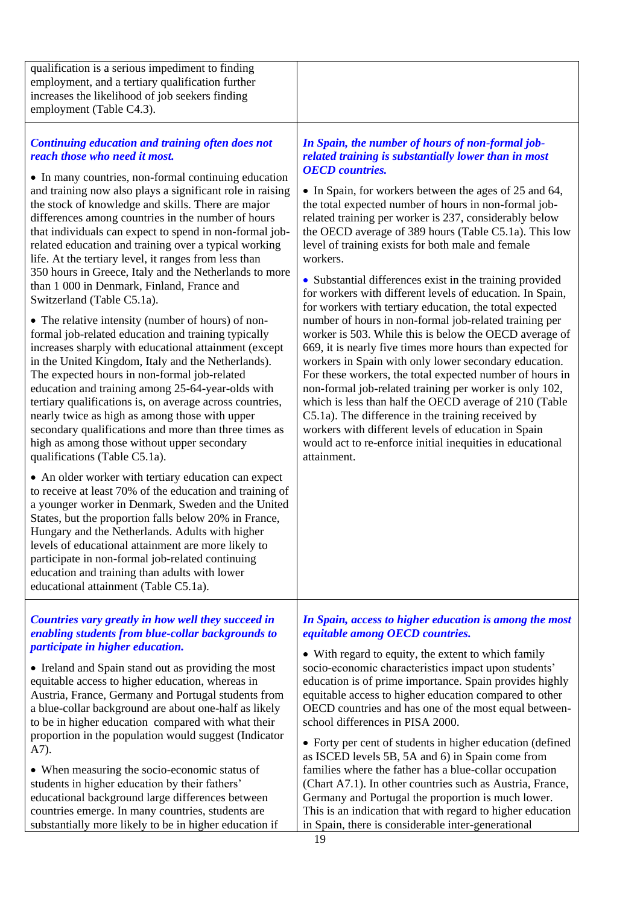| qualification is a serious impediment to finding<br>employment, and a tertiary qualification further<br>increases the likelihood of job seekers finding<br>employment (Table C4.3).                                                                                                                                                                                                                                                                                                                                                                                                                                                                                                                                                                                                                                                                                                                                                                                                                                                                                                                                                                                                                                                                                                                                                                                                                                                                                                                                                                                                                                                                                                                                             |                                                                                                                                                                                                                                                                                                                                                                                                                                                                                                                                                                                                                                                                                                                                                                                                                                                                                                                                                                                                                                                                                                                                                                                                                                                   |
|---------------------------------------------------------------------------------------------------------------------------------------------------------------------------------------------------------------------------------------------------------------------------------------------------------------------------------------------------------------------------------------------------------------------------------------------------------------------------------------------------------------------------------------------------------------------------------------------------------------------------------------------------------------------------------------------------------------------------------------------------------------------------------------------------------------------------------------------------------------------------------------------------------------------------------------------------------------------------------------------------------------------------------------------------------------------------------------------------------------------------------------------------------------------------------------------------------------------------------------------------------------------------------------------------------------------------------------------------------------------------------------------------------------------------------------------------------------------------------------------------------------------------------------------------------------------------------------------------------------------------------------------------------------------------------------------------------------------------------|---------------------------------------------------------------------------------------------------------------------------------------------------------------------------------------------------------------------------------------------------------------------------------------------------------------------------------------------------------------------------------------------------------------------------------------------------------------------------------------------------------------------------------------------------------------------------------------------------------------------------------------------------------------------------------------------------------------------------------------------------------------------------------------------------------------------------------------------------------------------------------------------------------------------------------------------------------------------------------------------------------------------------------------------------------------------------------------------------------------------------------------------------------------------------------------------------------------------------------------------------|
| <b>Continuing education and training often does not</b><br>reach those who need it most.<br>• In many countries, non-formal continuing education<br>and training now also plays a significant role in raising<br>the stock of knowledge and skills. There are major<br>differences among countries in the number of hours<br>that individuals can expect to spend in non-formal job-<br>related education and training over a typical working<br>life. At the tertiary level, it ranges from less than<br>350 hours in Greece, Italy and the Netherlands to more<br>than 1 000 in Denmark, Finland, France and<br>Switzerland (Table C5.1a).<br>• The relative intensity (number of hours) of non-<br>formal job-related education and training typically<br>increases sharply with educational attainment (except<br>in the United Kingdom, Italy and the Netherlands).<br>The expected hours in non-formal job-related<br>education and training among 25-64-year-olds with<br>tertiary qualifications is, on average across countries,<br>nearly twice as high as among those with upper<br>secondary qualifications and more than three times as<br>high as among those without upper secondary<br>qualifications (Table C5.1a).<br>• An older worker with tertiary education can expect<br>to receive at least 70% of the education and training of<br>a younger worker in Denmark, Sweden and the United<br>States, but the proportion falls below 20% in France,<br>Hungary and the Netherlands. Adults with higher<br>levels of educational attainment are more likely to<br>participate in non-formal job-related continuing<br>education and training than adults with lower<br>educational attainment (Table C5.1a). | In Spain, the number of hours of non-formal job-<br>related training is substantially lower than in most<br><b>OECD</b> countries.<br>• In Spain, for workers between the ages of 25 and 64,<br>the total expected number of hours in non-formal job-<br>related training per worker is 237, considerably below<br>the OECD average of 389 hours (Table C5.1a). This low<br>level of training exists for both male and female<br>workers.<br>• Substantial differences exist in the training provided<br>for workers with different levels of education. In Spain,<br>for workers with tertiary education, the total expected<br>number of hours in non-formal job-related training per<br>worker is 503. While this is below the OECD average of<br>669, it is nearly five times more hours than expected for<br>workers in Spain with only lower secondary education.<br>For these workers, the total expected number of hours in<br>non-formal job-related training per worker is only 102,<br>which is less than half the OECD average of 210 (Table<br>C5.1a). The difference in the training received by<br>workers with different levels of education in Spain<br>would act to re-enforce initial inequities in educational<br>attainment. |
| Countries vary greatly in how well they succeed in<br>enabling students from blue-collar backgrounds to<br>participate in higher education.<br>• Ireland and Spain stand out as providing the most<br>equitable access to higher education, whereas in<br>Austria, France, Germany and Portugal students from<br>a blue-collar background are about one-half as likely<br>to be in higher education compared with what their<br>proportion in the population would suggest (Indicator<br>A7).<br>• When measuring the socio-economic status of<br>students in higher education by their fathers'<br>educational background large differences between<br>countries emerge. In many countries, students are<br>substantially more likely to be in higher education if                                                                                                                                                                                                                                                                                                                                                                                                                                                                                                                                                                                                                                                                                                                                                                                                                                                                                                                                                             | In Spain, access to higher education is among the most<br>equitable among OECD countries.<br>• With regard to equity, the extent to which family<br>socio-economic characteristics impact upon students'<br>education is of prime importance. Spain provides highly<br>equitable access to higher education compared to other<br>OECD countries and has one of the most equal between-<br>school differences in PISA 2000.<br>• Forty per cent of students in higher education (defined<br>as ISCED levels 5B, 5A and 6) in Spain come from<br>families where the father has a blue-collar occupation<br>(Chart A7.1). In other countries such as Austria, France,<br>Germany and Portugal the proportion is much lower.<br>This is an indication that with regard to higher education<br>in Spain, there is considerable inter-generational<br>19                                                                                                                                                                                                                                                                                                                                                                                                |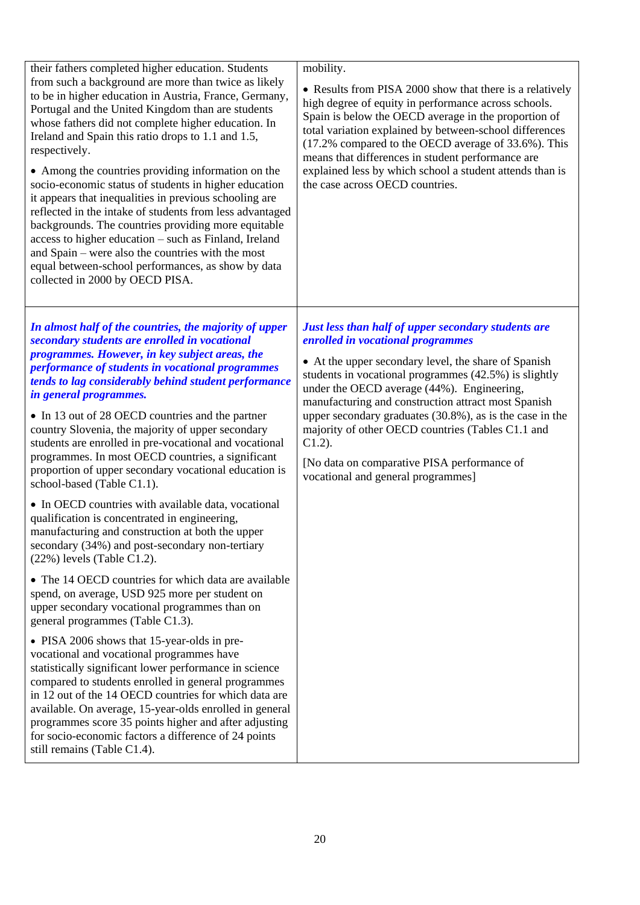| their fathers completed higher education. Students<br>from such a background are more than twice as likely<br>to be in higher education in Austria, France, Germany,<br>Portugal and the United Kingdom than are students<br>whose fathers did not complete higher education. In<br>Ireland and Spain this ratio drops to 1.1 and 1.5,<br>respectively.<br>• Among the countries providing information on the<br>socio-economic status of students in higher education<br>it appears that inequalities in previous schooling are<br>reflected in the intake of students from less advantaged<br>backgrounds. The countries providing more equitable<br>access to higher education – such as Finland, Ireland<br>and Spain – were also the countries with the most<br>equal between-school performances, as show by data<br>collected in 2000 by OECD PISA. | mobility.<br>• Results from PISA 2000 show that there is a relatively<br>high degree of equity in performance across schools.<br>Spain is below the OECD average in the proportion of<br>total variation explained by between-school differences<br>(17.2% compared to the OECD average of 33.6%). This<br>means that differences in student performance are<br>explained less by which school a student attends than is<br>the case across OECD countries.                                                                       |
|------------------------------------------------------------------------------------------------------------------------------------------------------------------------------------------------------------------------------------------------------------------------------------------------------------------------------------------------------------------------------------------------------------------------------------------------------------------------------------------------------------------------------------------------------------------------------------------------------------------------------------------------------------------------------------------------------------------------------------------------------------------------------------------------------------------------------------------------------------|-----------------------------------------------------------------------------------------------------------------------------------------------------------------------------------------------------------------------------------------------------------------------------------------------------------------------------------------------------------------------------------------------------------------------------------------------------------------------------------------------------------------------------------|
| In almost half of the countries, the majority of upper<br>secondary students are enrolled in vocational<br>programmes. However, in key subject areas, the<br>performance of students in vocational programmes<br>tends to lag considerably behind student performance<br>in general programmes.<br>• In 13 out of 28 OECD countries and the partner<br>country Slovenia, the majority of upper secondary<br>students are enrolled in pre-vocational and vocational<br>programmes. In most OECD countries, a significant<br>proportion of upper secondary vocational education is<br>school-based (Table C1.1).                                                                                                                                                                                                                                             | Just less than half of upper secondary students are<br>enrolled in vocational programmes<br>• At the upper secondary level, the share of Spanish<br>students in vocational programmes (42.5%) is slightly<br>under the OECD average (44%). Engineering,<br>manufacturing and construction attract most Spanish<br>upper secondary graduates (30.8%), as is the case in the<br>majority of other OECD countries (Tables C1.1 and<br>$C1.2$ ).<br>[No data on comparative PISA performance of<br>vocational and general programmes] |
| • In OECD countries with available data, vocational<br>qualification is concentrated in engineering,<br>manufacturing and construction at both the upper<br>secondary (34%) and post-secondary non-tertiary<br>$(22%)$ levels (Table C1.2).                                                                                                                                                                                                                                                                                                                                                                                                                                                                                                                                                                                                                |                                                                                                                                                                                                                                                                                                                                                                                                                                                                                                                                   |
| • The 14 OECD countries for which data are available<br>spend, on average, USD 925 more per student on<br>upper secondary vocational programmes than on<br>general programmes (Table C1.3).                                                                                                                                                                                                                                                                                                                                                                                                                                                                                                                                                                                                                                                                |                                                                                                                                                                                                                                                                                                                                                                                                                                                                                                                                   |
| • PISA 2006 shows that 15-year-olds in pre-<br>vocational and vocational programmes have<br>statistically significant lower performance in science<br>compared to students enrolled in general programmes<br>in 12 out of the 14 OECD countries for which data are<br>available. On average, 15-year-olds enrolled in general<br>programmes score 35 points higher and after adjusting<br>for socio-economic factors a difference of 24 points<br>still remains (Table C1.4).                                                                                                                                                                                                                                                                                                                                                                              |                                                                                                                                                                                                                                                                                                                                                                                                                                                                                                                                   |